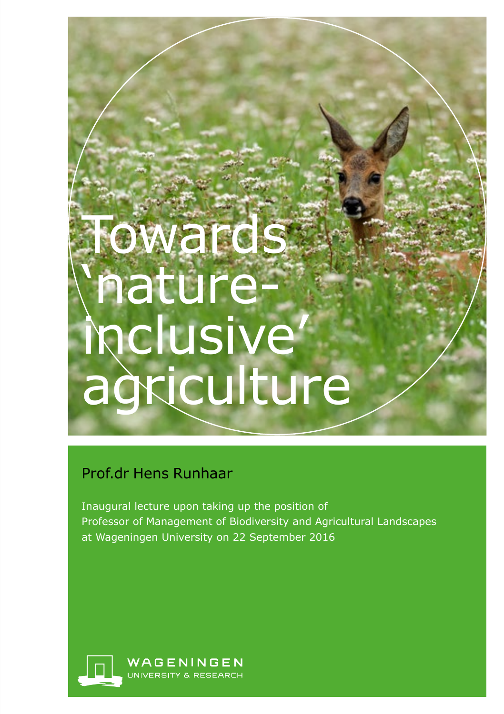# towards 'natureinclusive' agriculture

# Prof.dr Hens Runhaar

Inaugural lecture upon taking up the position of Professor of Management of Biodiversity and Agricultural Landscapes at Wageningen University on 22 September 2016



WAGENINGEN UNIVERSITY & RESEARCH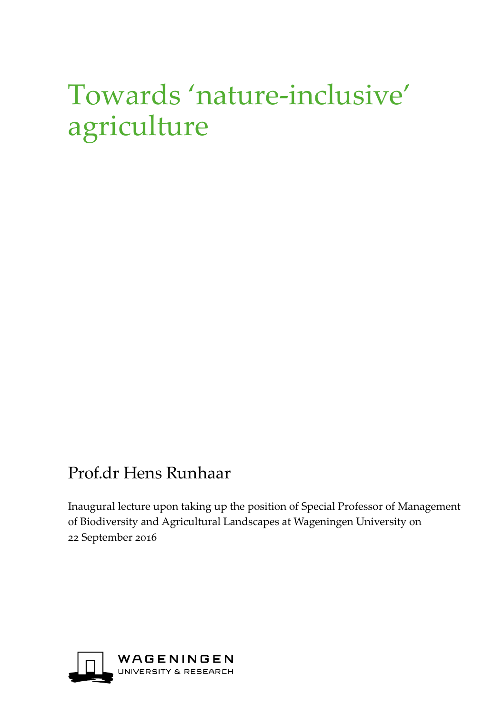# Towards 'nature-inclusive' agriculture

# Prof.dr Hens Runhaar

Inaugural lecture upon taking up the position of Special Professor of Management of Biodiversity and Agricultural Landscapes at Wageningen University on 22 September 2016

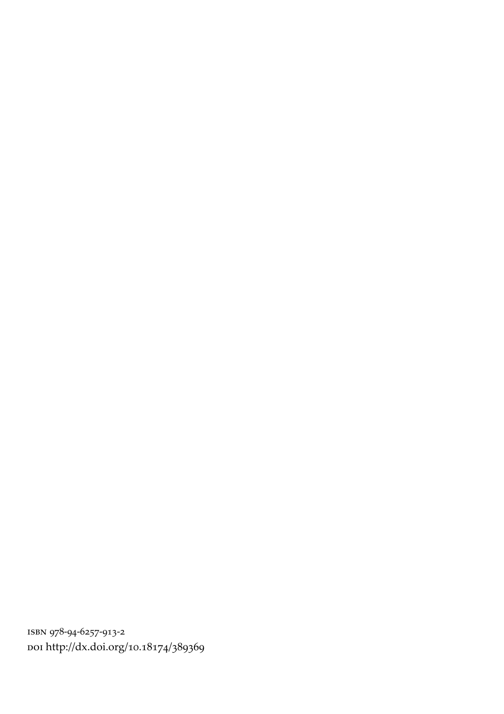isbn 978-94-6257-913-2 doi http://dx.doi.org/10.18174/389369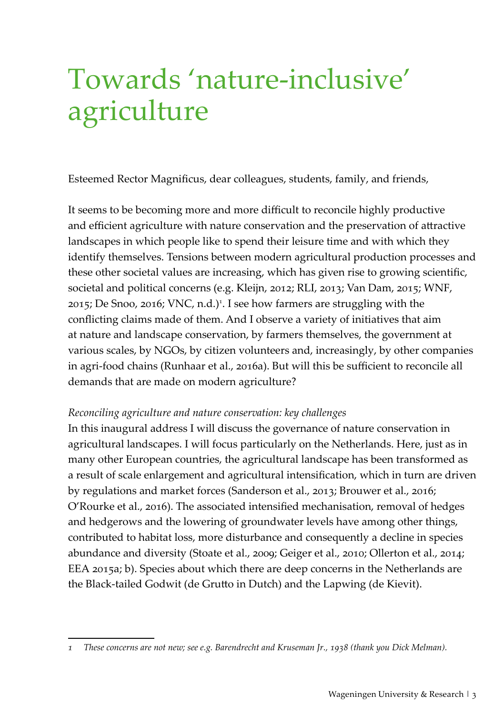# Towards 'nature-inclusive' agriculture

Esteemed Rector Magnificus, dear colleagues, students, family, and friends,

It seems to be becoming more and more difficult to reconcile highly productive and efficient agriculture with nature conservation and the preservation of attractive landscapes in which people like to spend their leisure time and with which they identify themselves. Tensions between modern agricultural production processes and these other societal values are increasing, which has given rise to growing scientific, societal and political concerns (e.g. Kleijn, 2012; RLI, 2013; Van Dam, 2015; WNF, 2015; De Snoo, 2016; VNC, n.d.)<sup>1</sup>. I see how farmers are struggling with the conflicting claims made of them. And I observe a variety of initiatives that aim at nature and landscape conservation, by farmers themselves, the government at various scales, by NGOs, by citizen volunteers and, increasingly, by other companies in agri-food chains (Runhaar et al., 2016a). But will this be sufficient to reconcile all demands that are made on modern agriculture?

#### *Reconciling agriculture and nature conservation: key challenges*

In this inaugural address I will discuss the governance of nature conservation in agricultural landscapes. I will focus particularly on the Netherlands. Here, just as in many other European countries, the agricultural landscape has been transformed as a result of scale enlargement and agricultural intensification, which in turn are driven by regulations and market forces (Sanderson et al., 2013; Brouwer et al., 2016; O'Rourke et al., 2016). The associated intensified mechanisation, removal of hedges and hedgerows and the lowering of groundwater levels have among other things, contributed to habitat loss, more disturbance and consequently a decline in species abundance and diversity (Stoate et al., 2009; Geiger et al., 2010; Ollerton et al., 2014; EEA 2015a; b). Species about which there are deep concerns in the Netherlands are the Black-tailed Godwit (de Grutto in Dutch) and the Lapwing (de Kievit).

*<sup>1</sup> These concerns are not new; see e.g. Barendrecht and Kruseman Jr., 1938 (thank you Dick Melman).*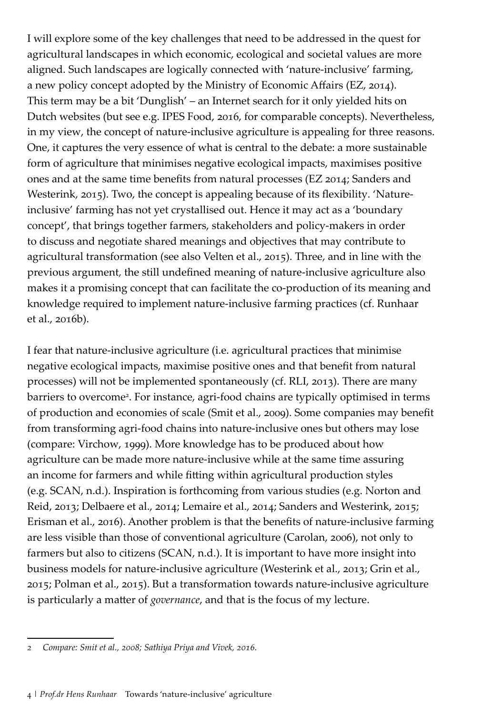I will explore some of the key challenges that need to be addressed in the quest for agricultural landscapes in which economic, ecological and societal values are more aligned. Such landscapes are logically connected with 'nature-inclusive' farming, a new policy concept adopted by the Ministry of Economic Affairs (EZ, 2014). This term may be a bit 'Dunglish' – an Internet search for it only yielded hits on Dutch websites (but see e.g. IPES Food, 2016, for comparable concepts). Nevertheless, in my view, the concept of nature-inclusive agriculture is appealing for three reasons. One, it captures the very essence of what is central to the debate: a more sustainable form of agriculture that minimises negative ecological impacts, maximises positive ones and at the same time benefits from natural processes (EZ 2014; Sanders and Westerink, 2015). Two, the concept is appealing because of its flexibility. 'Natureinclusive' farming has not yet crystallised out. Hence it may act as a 'boundary concept', that brings together farmers, stakeholders and policy-makers in order to discuss and negotiate shared meanings and objectives that may contribute to agricultural transformation (see also Velten et al., 2015). Three, and in line with the previous argument, the still undefined meaning of nature-inclusive agriculture also makes it a promising concept that can facilitate the co-production of its meaning and knowledge required to implement nature-inclusive farming practices (cf. Runhaar et al., 2016b).

I fear that nature-inclusive agriculture (i.e. agricultural practices that minimise negative ecological impacts, maximise positive ones and that benefit from natural processes) will not be implemented spontaneously (cf. RLI, 2013). There are many barriers to overcome<sup>2</sup>. For instance, agri-food chains are typically optimised in terms of production and economies of scale (Smit et al., 2009). Some companies may benefit from transforming agri-food chains into nature-inclusive ones but others may lose (compare: Virchow, 1999). More knowledge has to be produced about how agriculture can be made more nature-inclusive while at the same time assuring an income for farmers and while fitting within agricultural production styles (e.g. SCAN, n.d.). Inspiration is forthcoming from various studies (e.g. Norton and Reid, 2013; Delbaere et al., 2014; Lemaire et al., 2014; Sanders and Westerink, 2015; Erisman et al., 2016). Another problem is that the benefits of nature-inclusive farming are less visible than those of conventional agriculture (Carolan, 2006), not only to farmers but also to citizens (SCAN, n.d.). It is important to have more insight into business models for nature-inclusive agriculture (Westerink et al., 2013; Grin et al., 2015; Polman et al., 2015). But a transformation towards nature-inclusive agriculture is particularly a matter of *governance*, and that is the focus of my lecture.

*<sup>2</sup> Compare: Smit et al., 2008; [Sathiya](https://www-scopus-com.proxy.library.uu.nl/authid/detail.uri?origin=resultslist&authorId=55805955900&zone=) Priya and [Vivek,](https://www-scopus-com.proxy.library.uu.nl/authid/detail.uri?origin=resultslist&authorId=16029796300&zone=) 2016.*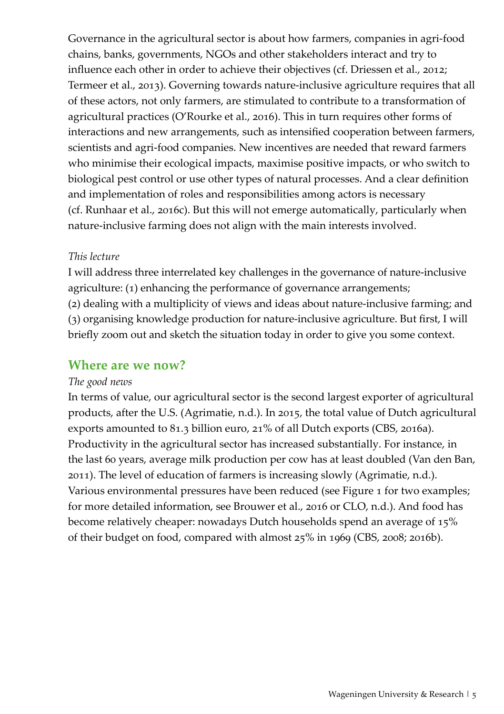Governance in the agricultural sector is about how farmers, companies in agri-food chains, banks, governments, NGOs and other stakeholders interact and try to influence each other in order to achieve their objectives (cf. Driessen et al., 2012; Termeer et al., 2013). Governing towards nature-inclusive agriculture requires that all of these actors, not only farmers, are stimulated to contribute to a transformation of agricultural practices (O'Rourke et al., 2016). This in turn requires other forms of interactions and new arrangements, such as intensified cooperation between farmers, scientists and agri-food companies. New incentives are needed that reward farmers who minimise their ecological impacts, maximise positive impacts, or who switch to biological pest control or use other types of natural processes. And a clear definition and implementation of roles and responsibilities among actors is necessary (cf. Runhaar et al., 2016c). But this will not emerge automatically, particularly when nature-inclusive farming does not align with the main interests involved.

#### *This lecture*

I will address three interrelated key challenges in the governance of nature-inclusive agriculture: (1) enhancing the performance of governance arrangements; (2) dealing with a multiplicity of views and ideas about nature-inclusive farming; and (3) organising knowledge production for nature-inclusive agriculture. But first, I will briefly zoom out and sketch the situation today in order to give you some context.

#### **Where are we now?**

#### *The good news*

In terms of value, our agricultural sector is the second largest exporter of agricultural products, after the U.S. (Agrimatie, n.d.). In 2015, the total value of Dutch agricultural exports amounted to 81.3 billion euro, 21% of all Dutch exports (CBS, 2016a). Productivity in the agricultural sector has increased substantially. For instance, in the last 60 years, average milk production per cow has at least doubled (Van den Ban, 2011). The level of education of farmers is increasing slowly (Agrimatie, n.d.). Various environmental pressures have been reduced (see Figure 1 for two examples; for more detailed information, see Brouwer et al., 2016 or CLO, n.d.). And food has become relatively cheaper: nowadays Dutch households spend an average of 15% of their budget on food, compared with almost 25% in 1969 (CBS, 2008; 2016b).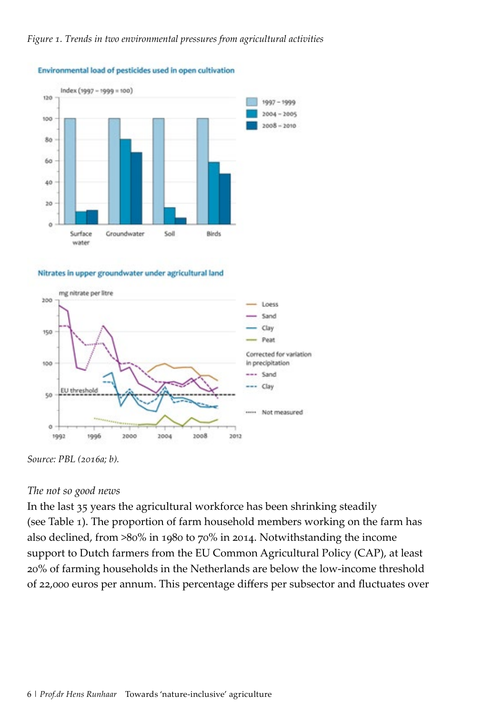#### *Figure 1. Trends in two environmental pressures from agricultural activities*



#### Environmental load of pesticides used in open cultivation





*Source: PBL (2016a; b).*

#### *The not so good news*

In the last 35 years the agricultural workforce has been shrinking steadily (see Table 1). The proportion of farm household members working on the farm has also declined, from >80% in 1980 to 70% in 2014. Notwithstanding the income support to Dutch farmers from the EU Common Agricultural Policy (CAP), at least 20% of farming households in the Netherlands are below the low-income threshold of 22,000 euros per annum. This percentage differs per subsector and fluctuates over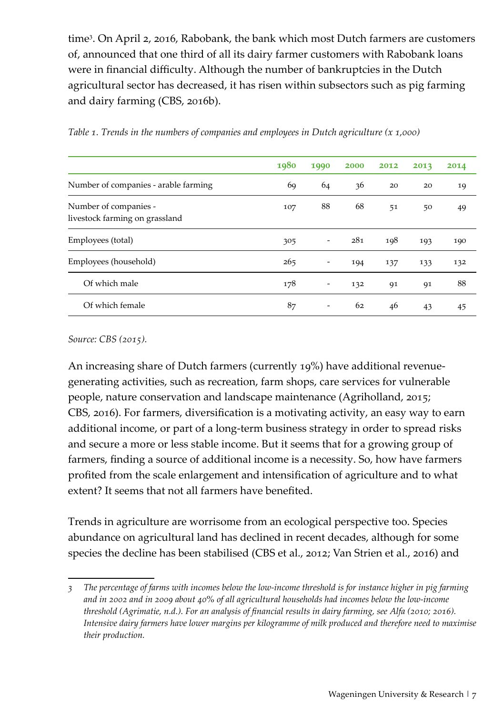time<sup>3</sup> . On April 2, 2016, Rabobank, the bank which most Dutch farmers are customers of, announced that one third of all its dairy farmer customers with Rabobank loans were in financial difficulty. Although the number of bankruptcies in the Dutch agricultural sector has decreased, it has risen within subsectors such as pig farming and dairy farming (CBS, 2016b).

|                                                         | 1980 | 1990                     | 2000 | 2012 | 2013 | 2014 |
|---------------------------------------------------------|------|--------------------------|------|------|------|------|
| Number of companies - arable farming                    | 69   | 64                       | 36   | 20   | 20   | 19   |
| Number of companies -<br>livestock farming on grassland | 107  | 88                       | 68   | 51   | 50   | 49   |
| Employees (total)                                       | 305  | $\overline{\phantom{a}}$ | 281  | 198  | 193  | 190  |
| Employees (household)                                   | 265  | $\overline{\phantom{a}}$ | 194  | 137  | 133  | 132  |
| Of which male                                           | 178  | -                        | 132  | 91   | 91   | 88   |
| Of which female                                         | 87   | $\overline{\phantom{a}}$ | 62   | 46   | 43   | 45   |

*Table 1. Trends in the numbers of companies and employees in Dutch agriculture (x 1,000)*

*Source: CBS (2015).*

An increasing share of Dutch farmers (currently 19%) have additional revenuegenerating activities, such as recreation, farm shops, care services for vulnerable people, nature conservation and landscape maintenance (Agriholland, 2015; CBS, 2016). For farmers, diversification is a motivating activity, an easy way to earn additional income, or part of a long-term business strategy in order to spread risks and secure a more or less stable income. But it seems that for a growing group of farmers, finding a source of additional income is a necessity. So, how have farmers profited from the scale enlargement and intensification of agriculture and to what extent? It seems that not all farmers have benefited.

Trends in agriculture are worrisome from an ecological perspective too. Species abundance on agricultural land has declined in recent decades, although for some species the decline has been stabilised (CBS et al., 2012; Van Strien et al., 2016) and

<sup>3</sup> The percentage of farms with incomes below the low-income threshold is for instance higher in pig farming *and in 2002 and in 2009 about 40% of all agricultural households had incomes below the low-income threshold (Agrimatie, n.d.). For an analysis of financial results in dairy farming, see Alfa (2010; 2016). Intensive dairy farmers have lower margins per kilogramme of milk produced and therefore need to maximise their production.*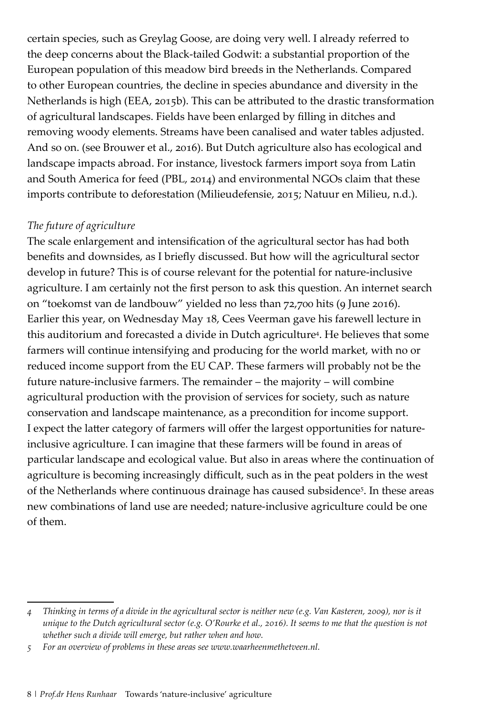certain species, such as Greylag Goose, are doing very well. I already referred to the deep concerns about the Black-tailed Godwit: a substantial proportion of the European population of this meadow bird breeds in the Netherlands. Compared to other European countries, the decline in species abundance and diversity in the Netherlands is high (EEA, 2015b). This can be attributed to the drastic transformation of agricultural landscapes. Fields have been enlarged by filling in ditches and removing woody elements. Streams have been canalised and water tables adjusted. And so on. (see Brouwer et al., 2016). But Dutch agriculture also has ecological and landscape impacts abroad. For instance, livestock farmers import soya from Latin and South America for feed (PBL, 2014) and environmental NGOs claim that these imports contribute to deforestation (Milieudefensie, 2015; Natuur en Milieu, n.d.).

#### *The future of agriculture*

The scale enlargement and intensification of the agricultural sector has had both benefits and downsides, as I briefly discussed. But how will the agricultural sector develop in future? This is of course relevant for the potential for nature-inclusive agriculture. I am certainly not the first person to ask this question. An internet search on "toekomst van de landbouw" yielded no less than 72,700 hits (9 June 2016). Earlier this year, on Wednesday May 18, Cees Veerman gave his farewell lecture in this auditorium and forecasted a divide in Dutch agriculture4 . He believes that some farmers will continue intensifying and producing for the world market, with no or reduced income support from the EU CAP. These farmers will probably not be the future nature-inclusive farmers. The remainder – the majority – will combine agricultural production with the provision of services for society, such as nature conservation and landscape maintenance, as a precondition for income support. I expect the latter category of farmers will offer the largest opportunities for natureinclusive agriculture. I can imagine that these farmers will be found in areas of particular landscape and ecological value. But also in areas where the continuation of agriculture is becoming increasingly difficult, such as in the peat polders in the west of the Netherlands where continuous drainage has caused subsidence<sup>5</sup>. In these areas new combinations of land use are needed; nature-inclusive agriculture could be one of them.

<sup>4</sup> Thinking in terms of a divide in the agricultural sector is neither new (e.g. Van Kasteren, 2009), nor is it unique to the Dutch agricultural sector (e.g. O'Rourke et al., 2016). It seems to me that the question is not *whether such a divide will emerge, but rather when and how.*

*<sup>5</sup> For an overview of problems in these areas see [www.waarheenmethetveen.nl.](http://www.waarheenmethetveen.nl)*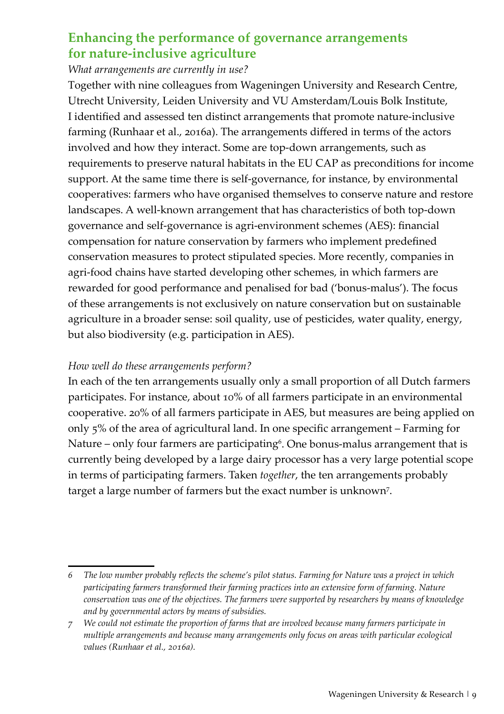# **Enhancing the performance of governance arrangements for nature-inclusive agriculture**

*What arrangements are currently in use?*

Together with nine colleagues from Wageningen University and Research Centre, Utrecht University, Leiden University and VU Amsterdam/Louis Bolk Institute, I identified and assessed ten distinct arrangements that promote nature-inclusive farming (Runhaar et al., 2016a). The arrangements differed in terms of the actors involved and how they interact. Some are top-down arrangements, such as requirements to preserve natural habitats in the EU CAP as preconditions for income support. At the same time there is self-governance, for instance, by environmental cooperatives: farmers who have organised themselves to conserve nature and restore landscapes. A well-known arrangement that has characteristics of both top-down governance and self-governance is agri-environment schemes (AES): financial compensation for nature conservation by farmers who implement predefined conservation measures to protect stipulated species. More recently, companies in agri-food chains have started developing other schemes, in which farmers are rewarded for good performance and penalised for bad ('bonus-malus'). The focus of these arrangements is not exclusively on nature conservation but on sustainable agriculture in a broader sense: soil quality, use of pesticides, water quality, energy, but also biodiversity (e.g. participation in AES).

#### *How well do these arrangements perform?*

In each of the ten arrangements usually only a small proportion of all Dutch farmers participates. For instance, about 10% of all farmers participate in an environmental cooperative. 20% of all farmers participate in AES, but measures are being applied on only 5% of the area of agricultural land. In one specific arrangement – Farming for Nature – only four farmers are participating $\sp{e}.$  One bonus-malus arrangement that is currently being developed by a large dairy processor has a very large potential scope in terms of participating farmers. Taken *together*, the ten arrangements probably target a large number of farmers but the exact number is unknown7 .

*<sup>6</sup> The low number probably reflects the scheme's pilot status. Farming for Nature was a project in which participating farmers transformed their farming practices into an extensive form of farming. Nature conservation was one of the objectives. The farmers were supported by researchers by means of knowledge and by governmental actors by means of subsidies.*

*<sup>7</sup> We could not estimate the proportion of farms that are involved because many farmers participate in multiple arrangements and because many arrangements only focus on areas with particular ecological values (Runhaar et al., 2016a).*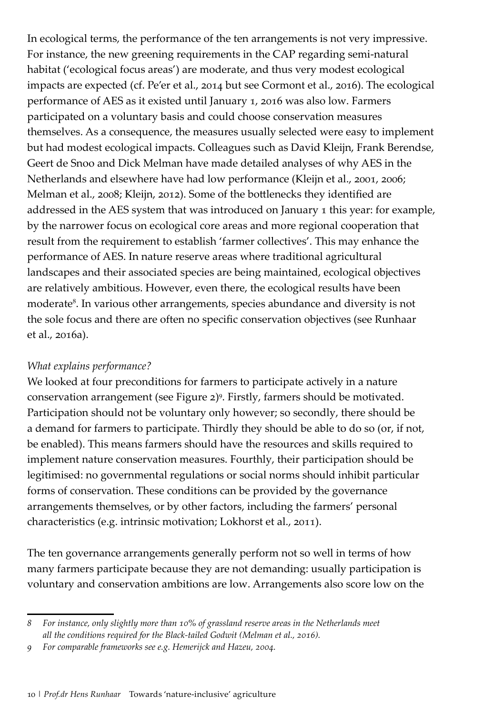In ecological terms, the performance of the ten arrangements is not very impressive. For instance, the new greening requirements in the CAP regarding semi-natural habitat ('ecological focus areas') are moderate, and thus very modest ecological impacts are expected (cf. Pe'er et al., 2014 but see Cormont et al., 2016). The ecological performance of AES as it existed until January 1, 2016 was also low. Farmers participated on a voluntary basis and could choose conservation measures themselves. As a consequence, the measures usually selected were easy to implement but had modest ecological impacts. Colleagues such as David Kleijn, Frank Berendse, Geert de Snoo and Dick Melman have made detailed analyses of why AES in the Netherlands and elsewhere have had low performance (Kleijn et al., 2001, 2006; Melman et al., 2008; Kleijn, 2012). Some of the bottlenecks they identified are addressed in the AES system that was introduced on January 1 this year: for example, by the narrower focus on ecological core areas and more regional cooperation that result from the requirement to establish 'farmer collectives'. This may enhance the performance of AES. In nature reserve areas where traditional agricultural landscapes and their associated species are being maintained, ecological objectives are relatively ambitious. However, even there, the ecological results have been moderate<sup>8</sup>. In various other arrangements, species abundance and diversity is not the sole focus and there are often no specific conservation objectives (see Runhaar et al., 2016a).

#### *What explains performance?*

We looked at four preconditions for farmers to participate actively in a nature conservation arrangement (see Figure 2)9 . Firstly, farmers should be motivated. Participation should not be voluntary only however; so secondly, there should be a demand for farmers to participate. Thirdly they should be able to do so (or, if not, be enabled). This means farmers should have the resources and skills required to implement nature conservation measures. Fourthly, their participation should be legitimised: no governmental regulations or social norms should inhibit particular forms of conservation. These conditions can be provided by the governance arrangements themselves, or by other factors, including the farmers' personal characteristics (e.g. intrinsic motivation; Lokhorst et al., 2011).

The ten governance arrangements generally perform not so well in terms of how many farmers participate because they are not demanding: usually participation is voluntary and conservation ambitions are low. Arrangements also score low on the

*<sup>8</sup> For instance, only slightly more than 10% of grassland reserve areas in the Netherlands meet all the conditions required for the Black-tailed Godwit (Melman et al., 2016).*

*<sup>9</sup> For comparable frameworks see e.g. Hemerijck and Hazeu, 2004.*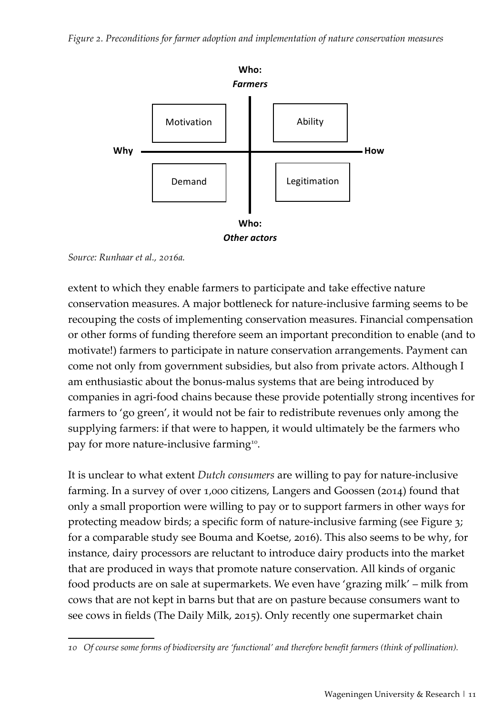

*Source: Runhaar et al., 2016a.*

extent to which they enable farmers to participate and take effective nature conservation measures. A major bottleneck for nature-inclusive farming seems to be recouping the costs of implementing conservation measures. Financial compensation or other forms of funding therefore seem an important precondition to enable (and to motivate!) farmers to participate in nature conservation arrangements. Payment can come not only from government subsidies, but also from private actors. Although I am enthusiastic about the bonus-malus systems that are being introduced by companies in agri-food chains because these provide potentially strong incentives for farmers to 'go green', it would not be fair to redistribute revenues only among the supplying farmers: if that were to happen, it would ultimately be the farmers who pay for more nature-inclusive farming<sup>10</sup>.

It is unclear to what extent *Dutch consumers* are willing to pay for nature-inclusive farming. In a survey of over 1,000 citizens, Langers and Goossen (2014) found that only a small proportion were willing to pay or to support farmers in other ways for protecting meadow birds; a specific form of nature-inclusive farming (see Figure 3; for a comparable study see Bouma and Koetse, 2016). This also seems to be why, for instance, dairy processors are reluctant to introduce dairy products into the market that are produced in ways that promote nature conservation. All kinds of organic food products are on sale at supermarkets. We even have 'grazing milk' – milk from cows that are not kept in barns but that are on pasture because consumers want to see cows in fields (The Daily Milk, 2015). Only recently one supermarket chain

*<sup>10</sup> Of course some forms of biodiversity are 'functional' and therefore benefit farmers (think of pollination).*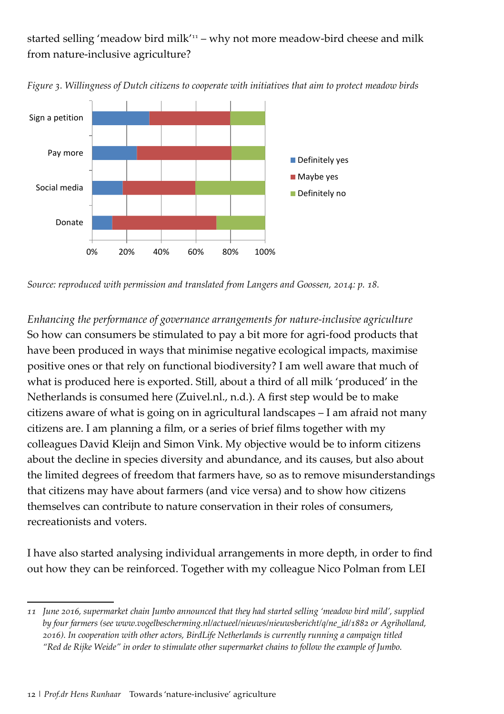started selling 'meadow bird milk'<sup>11</sup> – why not more meadow-bird cheese and milk from nature-inclusive agriculture?



*Figure 3. Willingness of Dutch citizens to cooperate with initiatives that aim to protect meadow birds*

*Enhancing the performance of governance arrangements for nature-inclusive agriculture* So how can consumers be stimulated to pay a bit more for agri-food products that have been produced in ways that minimise negative ecological impacts, maximise positive ones or that rely on functional biodiversity? I am well aware that much of what is produced here is exported. Still, about a third of all milk 'produced' in the Netherlands is consumed here (Zuivel.nl., n.d.). A first step would be to make citizens aware of what is going on in agricultural landscapes – I am afraid not many citizens are. I am planning a film, or a series of brief films together with my colleagues David Kleijn and Simon Vink. My objective would be to inform citizens about the decline in species diversity and abundance, and its causes, but also about the limited degrees of freedom that farmers have, so as to remove misunderstandings that citizens may have about farmers (and vice versa) and to show how citizens themselves can contribute to nature conservation in their roles of consumers, recreationists and voters.

I have also started analysing individual arrangements in more depth, in order to find out how they can be reinforced. Together with my colleague Nico Polman from LEI

*Source: reproduced with permission and translated from Langers and Goossen, 2014: p. 18.*

*<sup>11</sup> June 2016, supermarket chain Jumbo announced that they had started selling 'meadow bird mild', supplied by four farmers (see [www.vogelbescherming.nl/actueel/nieuws/nieuwsbericht/q/ne\\_id/1882](http://www.vogelbescherming.nl/actueel/nieuws/nieuwsbericht/q/ne_id/1882) or Agriholland, 2016). In cooperation with other actors, BirdLife Netherlands is currently running a campaign titled "Red de Rijke Weide" in order to stimulate other supermarket chains to follow the example of Jumbo.*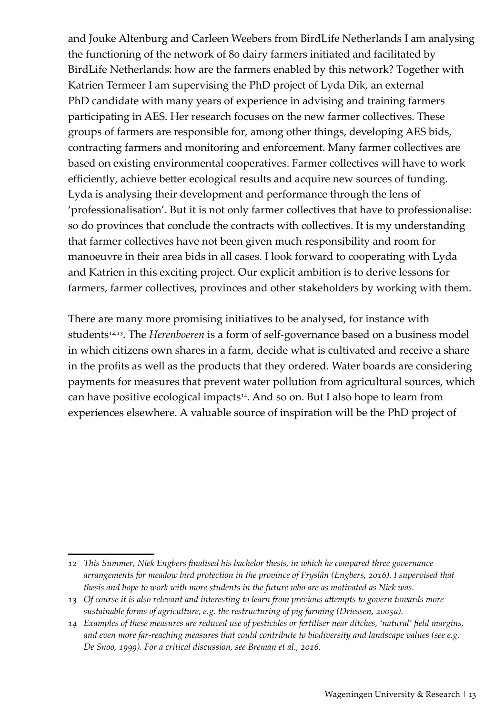and Jouke Altenburg and Carleen Weebers from BirdLife Netherlands I am analysing the functioning of the network of 80 dairy farmers initiated and facilitated by BirdLife Netherlands: how are the farmers enabled by this network? Together with Katrien Termeer I am supervising the PhD project of Lyda Dik, an external PhD candidate with many years of experience in advising and training farmers participating in AES. Her research focuses on the new farmer collectives. These groups of farmers are responsible for, among other things, developing AES bids, contracting farmers and monitoring and enforcement. Many farmer collectives are based on existing environmental cooperatives. Farmer collectives will have to work efficiently, achieve better ecological results and acquire new sources of funding. Lyda is analysing their development and performance through the lens of 'professionalisation'. But it is not only farmer collectives that have to professionalise: so do provinces that conclude the contracts with collectives. It is my understanding that farmer collectives have not been given much responsibility and room for manoeuvre in their area bids in all cases. I look forward to cooperating with Lyda and Katrien in this exciting project. Our explicit ambition is to derive lessons for farmers, farmer collectives, provinces and other stakeholders by working with them.

There are many more promising initiatives to be analysed, for instance with students<sup>12,13</sup>. The *Herenboeren* is a form of self-governance based on a business model in which citizens own shares in a farm, decide what is cultivated and receive a share in the profits as well as the products that they ordered. Water boards are considering payments for measures that prevent water pollution from agricultural sources, which can have positive ecological impacts<sup>14</sup>. And so on. But I also hope to learn from experiences elsewhere. A valuable source of inspiration will be the PhD project of

*<sup>12</sup> This Summer, Niek Engbers finalised his bachelor thesis, in which he compared three governance arrangements for meadow bird protection in the province of Fryslân (Engbers, 2016). I supervised that thesis and hope to work with more students in the future who are as motivated as Niek was.*

*<sup>13</sup> Of course it is also relevant and interesting to learn from previous attempts to govern towards more sustainable forms of agriculture, e.g. the restructuring of pig farming (Driessen, 2005a).*

<sup>14</sup> Examples of these measures are reduced use of pesticides or fertiliser near ditches, 'natural' field margins, *and even more far-reaching measures that could contribute to biodiversity and landscape values (see e.g. De Snoo, 1999). For a critical discussion, see Breman et al., 2016.*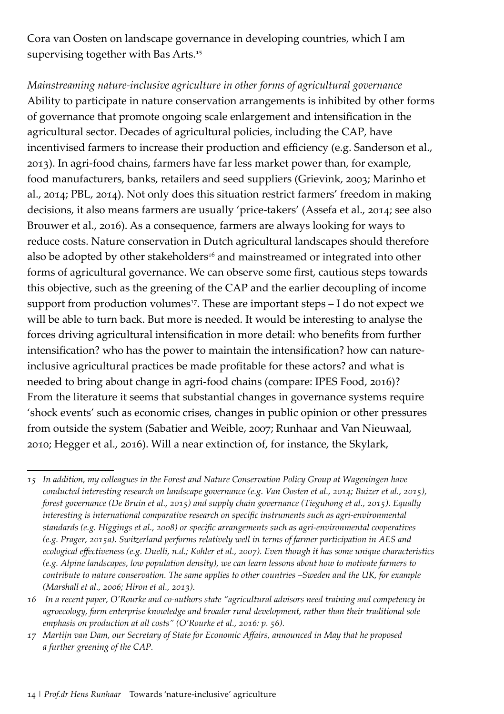Cora van Oosten on landscape governance in developing countries, which I am supervising together with Bas Arts.<sup>15</sup>

*Mainstreaming nature-inclusive agriculture in other forms of agricultural governance* Ability to participate in nature conservation arrangements is inhibited by other forms of governance that promote ongoing scale enlargement and intensification in the agricultural sector. Decades of agricultural policies, including the CAP, have incentivised farmers to increase their production and efficiency (e.g. Sanderson et al., 2013). In agri-food chains, farmers have far less market power than, for example, food manufacturers, banks, retailers and seed suppliers (Grievink, 2003; Marinho et al., 2014; PBL, 2014). Not only does this situation restrict farmers' freedom in making decisions, it also means farmers are usually 'price-takers' (Assefa et al., 2014; see also Brouwer et al., 2016). As a consequence, farmers are always looking for ways to reduce costs. Nature conservation in Dutch agricultural landscapes should therefore also be adopted by other stakeholders<sup>16</sup> and mainstreamed or integrated into other forms of agricultural governance. We can observe some first, cautious steps towards this objective, such as the greening of the CAP and the earlier decoupling of income support from production volumes<sup>17</sup>. These are important steps - I do not expect we will be able to turn back. But more is needed. It would be interesting to analyse the forces driving agricultural intensification in more detail: who benefits from further intensification? who has the power to maintain the intensification? how can natureinclusive agricultural practices be made profitable for these actors? and what is needed to bring about change in agri-food chains (compare: IPES Food, 2016)? From the literature it seems that substantial changes in governance systems require 'shock events' such as economic crises, changes in public opinion or other pressures from outside the system (Sabatier and Weible, 2007; Runhaar and Van Nieuwaal, 2010; Hegger et al., 2016). Will a near extinction of, for instance, the Skylark,

*<sup>15</sup> In addition, my colleagues in the Forest and Nature Conservation Policy Group at Wageningen have conducted interesting research on landscape governance (e.g. Van Oosten et al., 2014; Buizer et al., 2015), forest governance (De Bruin et al., 2015) and supply chain governance (Tieguhong et al., 2015). Equally interesting is international comparative research on specific instruments such as agri-environmental standards (e.g. Higgings et al., 2008) or specific arrangements such as agri-environmental cooperatives (e.g. Prager, 2015a). Switzerland performs relatively well in terms of farmer participation in AES and* ecological effectiveness (e.g. Duelli, n.d.; Kohler et al., 2007). Even though it has some unique characteristics *(e.g. Alpine landscapes, low population density), we can learn lessons about how to motivate farmers to contribute to nature conservation. The same applies to other countries –Sweden and the UK, for example (Marshall et al., 2006; Hiron et al., 2013).*

*<sup>16</sup> In a recent paper, O'Rourke and co-authors state "agricultural advisors need training and competency in agroecology, farm enterprise knowledge and broader rural development, rather than their traditional sole emphasis on production at all costs" (O'Rourke et al., 2016: p. 56).*

*<sup>17</sup> Martijn van Dam, our Secretary of State for Economic Affairs, announced in May that he proposed a further greening of the CAP.*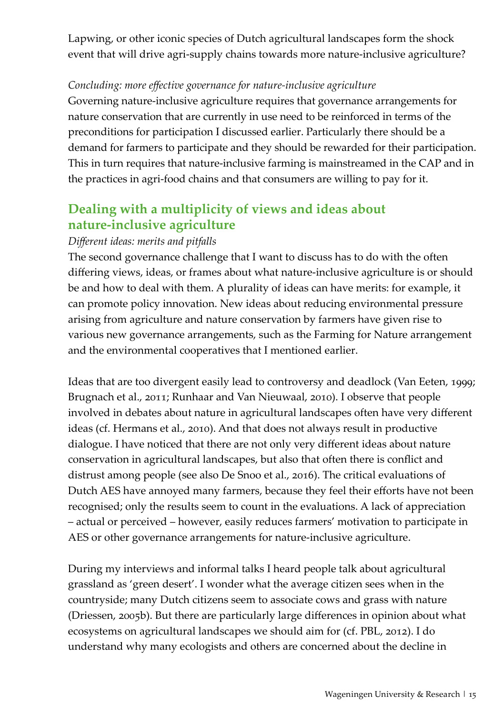Lapwing, or other iconic species of Dutch agricultural landscapes form the shock event that will drive agri-supply chains towards more nature-inclusive agriculture?

#### *Concluding: more effective governance for nature-inclusive agriculture*

Governing nature-inclusive agriculture requires that governance arrangements for nature conservation that are currently in use need to be reinforced in terms of the preconditions for participation I discussed earlier. Particularly there should be a demand for farmers to participate and they should be rewarded for their participation. This in turn requires that nature-inclusive farming is mainstreamed in the CAP and in the practices in agri-food chains and that consumers are willing to pay for it.

# **Dealing with a multiplicity of views and ideas about nature-inclusive agriculture**

#### *Different ideas: merits and pitfalls*

The second governance challenge that I want to discuss has to do with the often differing views, ideas, or frames about what nature-inclusive agriculture is or should be and how to deal with them. A plurality of ideas can have merits: for example, it can promote policy innovation. New ideas about reducing environmental pressure arising from agriculture and nature conservation by farmers have given rise to various new governance arrangements, such as the Farming for Nature arrangement and the environmental cooperatives that I mentioned earlier.

Ideas that are too divergent easily lead to controversy and deadlock (Van Eeten, 1999; Brugnach et al., 2011; Runhaar and Van Nieuwaal, 2010). I observe that people involved in debates about nature in agricultural landscapes often have very different ideas (cf. Hermans et al., 2010). And that does not always result in productive dialogue. I have noticed that there are not only very different ideas about nature conservation in agricultural landscapes, but also that often there is conflict and distrust among people (see also De Snoo et al., 2016). The critical evaluations of Dutch AES have annoyed many farmers, because they feel their efforts have not been recognised; only the results seem to count in the evaluations. A lack of appreciation – actual or perceived – however, easily reduces farmers' motivation to participate in AES or other governance arrangements for nature-inclusive agriculture.

During my interviews and informal talks I heard people talk about agricultural grassland as 'green desert'. I wonder what the average citizen sees when in the countryside; many Dutch citizens seem to associate cows and grass with nature (Driessen, 2005b). But there are particularly large differences in opinion about what ecosystems on agricultural landscapes we should aim for (cf. PBL, 2012). I do understand why many ecologists and others are concerned about the decline in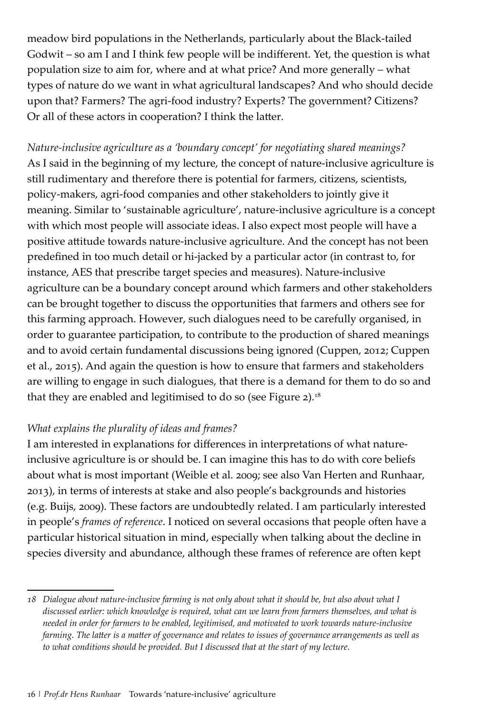meadow bird populations in the Netherlands, particularly about the Black-tailed Godwit – so am I and I think few people will be indifferent. Yet, the question is what population size to aim for, where and at what price? And more generally – what types of nature do we want in what agricultural landscapes? And who should decide upon that? Farmers? The agri-food industry? Experts? The government? Citizens? Or all of these actors in cooperation? I think the latter.

*Nature-inclusive agriculture as a 'boundary concept' for negotiating shared meanings?* As I said in the beginning of my lecture, the concept of nature-inclusive agriculture is still rudimentary and therefore there is potential for farmers, citizens, scientists, policy-makers, agri-food companies and other stakeholders to jointly give it meaning. Similar to 'sustainable agriculture', nature-inclusive agriculture is a concept with which most people will associate ideas. I also expect most people will have a positive attitude towards nature-inclusive agriculture. And the concept has not been predefined in too much detail or hi-jacked by a particular actor (in contrast to, for instance, AES that prescribe target species and measures). Nature-inclusive agriculture can be a boundary concept around which farmers and other stakeholders can be brought together to discuss the opportunities that farmers and others see for this farming approach. However, such dialogues need to be carefully organised, in order to guarantee participation, to contribute to the production of shared meanings and to avoid certain fundamental discussions being ignored (Cuppen, 2012; Cuppen et al., 2015). And again the question is how to ensure that farmers and stakeholders are willing to engage in such dialogues, that there is a demand for them to do so and that they are enabled and legitimised to do so (see Figure 2).<sup>18</sup>

#### *What explains the plurality of ideas and frames?*

I am interested in explanations for differences in interpretations of what natureinclusive agriculture is or should be. I can imagine this has to do with core beliefs about what is most important (Weible et al. 2009; see also Van Herten and Runhaar, 2013), in terms of interests at stake and also people's backgrounds and histories (e.g. Buijs, 2009). These factors are undoubtedly related. I am particularly interested in people's *frames of reference*. I noticed on several occasions that people often have a particular historical situation in mind, especially when talking about the decline in species diversity and abundance, although these frames of reference are often kept

*<sup>18</sup> Dialogue about nature-inclusive farming is not only about what it should be, but also about what I discussed earlier: which knowledge is required, what can we learn from farmers themselves, and what is needed in order for farmers to be enabled, legitimised, and motivated to work towards nature-inclusive* farming. The latter is a matter of governance and relates to issues of governance arrangements as well as *to what conditions should be provided. But I discussed that at the start of my lecture.*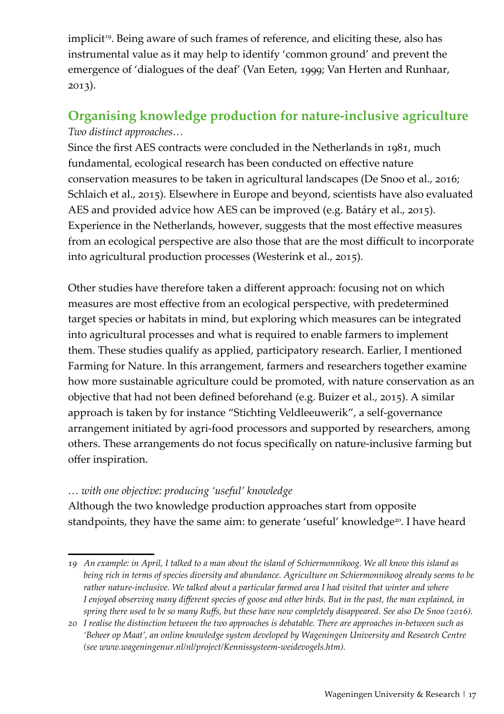implicit<sup>19</sup>. Being aware of such frames of reference, and eliciting these, also has instrumental value as it may help to identify 'common ground' and prevent the emergence of 'dialogues of the deaf' (Van Eeten, 1999; Van Herten and Runhaar, 2013).

# **Organising knowledge production for nature-inclusive agriculture** *Two distinct approaches…*

Since the first AES contracts were concluded in the Netherlands in 1981, much fundamental, ecological research has been conducted on effective nature conservation measures to be taken in agricultural landscapes (De Snoo et al., 2016; Schlaich et al., 2015). Elsewhere in Europe and beyond, scientists have also evaluated AES and provided advice how AES can be improved (e.g. Batáry et al., 2015). Experience in the Netherlands, however, suggests that the most effective measures from an ecological perspective are also those that are the most difficult to incorporate into agricultural production processes (Westerink et al., 2015).

Other studies have therefore taken a different approach: focusing not on which measures are most effective from an ecological perspective, with predetermined target species or habitats in mind, but exploring which measures can be integrated into agricultural processes and what is required to enable farmers to implement them. These studies qualify as applied, participatory research. Earlier, I mentioned Farming for Nature. In this arrangement, farmers and researchers together examine how more sustainable agriculture could be promoted, with nature conservation as an objective that had not been defined beforehand (e.g. Buizer et al., 2015). A similar approach is taken by for instance "Stichting Veldleeuwerik", a self-governance arrangement initiated by agri-food processors and supported by researchers, among others. These arrangements do not focus specifically on nature-inclusive farming but offer inspiration.

#### *… with one objective: producing 'useful' knowledge*

Although the two knowledge production approaches start from opposite standpoints, they have the same aim: to generate 'useful' knowledge<sup>20</sup>. I have heard

<sup>19</sup> An example: in April, I talked to a man about the island of Schiermonnikoog. We all know this island as *being rich in terms of species diversity and abundance. Agriculture on Schiermonnikoog already seems to be rather nature-inclusive. We talked about a particular farmed area I had visited that winter and where* I enjoyed observing many different species of goose and other birds. But in the past, the man explained, in spring there used to be so many Ruffs, but these have now completely disappeared. See also De Snoo (2016).

*<sup>20</sup> I realise the distinction between the two approaches is debatable. There are approaches in-between such as 'Beheer op Maat', an online knowledge system developed by Wageningen University and Research Centre (see [www.wageningenur.nl/nl/project/Kennissysteem-weidevogels.htm\)](http://www.wageningenur.nl/nl/project/Kennissysteem-weidevogels.htm).*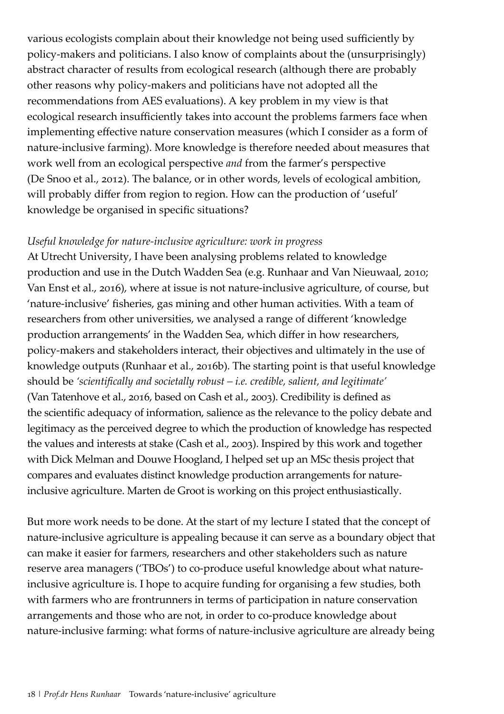various ecologists complain about their knowledge not being used sufficiently by policy-makers and politicians. I also know of complaints about the (unsurprisingly) abstract character of results from ecological research (although there are probably other reasons why policy-makers and politicians have not adopted all the recommendations from AES evaluations). A key problem in my view is that ecological research insufficiently takes into account the problems farmers face when implementing effective nature conservation measures (which I consider as a form of nature-inclusive farming). More knowledge is therefore needed about measures that work well from an ecological perspective *and* from the farmer's perspective (De Snoo et al., 2012). The balance, or in other words, levels of ecological ambition, will probably differ from region to region. How can the production of 'useful' knowledge be organised in specific situations?

#### *Useful knowledge for nature-inclusive agriculture: work in progress*

At Utrecht University, I have been analysing problems related to knowledge production and use in the Dutch Wadden Sea (e.g. Runhaar and Van Nieuwaal, 2010; Van Enst et al., 2016), where at issue is not nature-inclusive agriculture, of course, but 'nature-inclusive' fisheries, gas mining and other human activities. With a team of researchers from other universities, we analysed a range of different 'knowledge production arrangements' in the Wadden Sea, which differ in how researchers, policy-makers and stakeholders interact, their objectives and ultimately in the use of knowledge outputs (Runhaar et al., 2016b). The starting point is that useful knowledge should be *'scientifically and societally robust – i.e. credible, salient, and legitimate'* (Van Tatenhove et al., 2016, based on Cash et al., 2003). Credibility is defined as the scientific adequacy of information, salience as the relevance to the policy debate and legitimacy as the perceived degree to which the production of knowledge has respected the values and interests at stake (Cash et al., 2003). Inspired by this work and together with Dick Melman and Douwe Hoogland, I helped set up an MSc thesis project that compares and evaluates distinct knowledge production arrangements for natureinclusive agriculture. Marten de Groot is working on this project enthusiastically.

But more work needs to be done. At the start of my lecture I stated that the concept of nature-inclusive agriculture is appealing because it can serve as a boundary object that can make it easier for farmers, researchers and other stakeholders such as nature reserve area managers ('TBOs') to co-produce useful knowledge about what natureinclusive agriculture is. I hope to acquire funding for organising a few studies, both with farmers who are frontrunners in terms of participation in nature conservation arrangements and those who are not, in order to co-produce knowledge about nature-inclusive farming: what forms of nature-inclusive agriculture are already being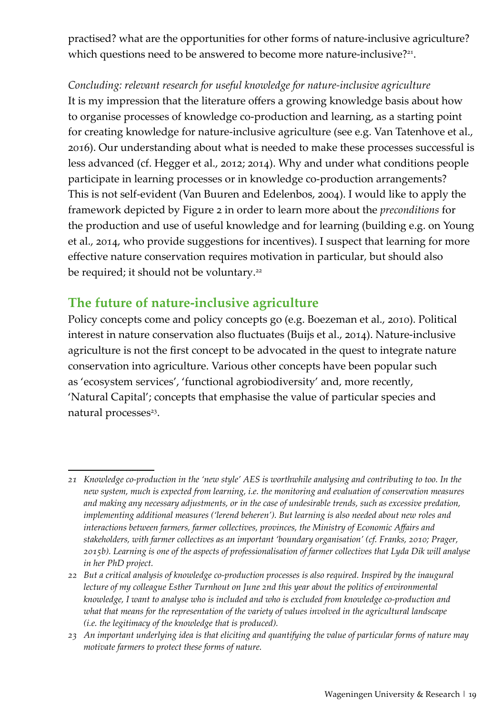practised? what are the opportunities for other forms of nature-inclusive agriculture? which questions need to be answered to become more nature-inclusive?<sup>21</sup>.

*Concluding: relevant research for useful knowledge for nature-inclusive agriculture* It is my impression that the literature offers a growing knowledge basis about how to organise processes of knowledge co-production and learning, as a starting point for creating knowledge for nature-inclusive agriculture (see e.g. Van Tatenhove et al., 2016). Our understanding about what is needed to make these processes successful is less advanced (cf. Hegger et al., 2012; 2014). Why and under what conditions people participate in learning processes or in knowledge co-production arrangements? This is not self-evident (Van Buuren and Edelenbos, 2004). I would like to apply the framework depicted by Figure 2 in order to learn more about the *preconditions* for the production and use of useful knowledge and for learning (building e.g. on Young et al., 2014, who provide suggestions for incentives). I suspect that learning for more effective nature conservation requires motivation in particular, but should also be required; it should not be voluntary.<sup>22</sup>

## **The future of nature-inclusive agriculture**

Policy concepts come and policy concepts go (e.g. Boezeman et al., 2010). Political interest in nature conservation also fluctuates (Buijs et al., 2014). Nature-inclusive agriculture is not the first concept to be advocated in the quest to integrate nature conservation into agriculture. Various other concepts have been popular such as 'ecosystem services', 'functional agrobiodiversity' and, more recently, 'Natural Capital'; concepts that emphasise the value of particular species and natural processes<sup>23</sup>.

*<sup>21</sup> Knowledge co-production in the 'new style' AES is worthwhile analysing and contributing to too. In the new system, much is expected from learning, i.e. the monitoring and evaluation of conservation measures and making any necessary adjustments, or in the case of undesirable trends, such as excessive predation, implementing additional measures ('lerend beheren'). But learning is also needed about new roles and interactions between farmers, farmer collectives, provinces, the Ministry of Economic Affairs and stakeholders, with farmer collectives as an important 'boundary organisation' (cf. Franks, 2010; Prager,* 2015b). Learning is one of the aspects of professionalisation of farmer collectives that Lyda Dik will analyse *in her PhD project.*

*<sup>22</sup> But a critical analysis of knowledge co-production processes is also required. Inspired by the inaugural lecture of my colleague Esther Turnhout on June 2nd this year about the politics of environmental knowledge, I want to analyse who is included and who is excluded from knowledge co-production and what that means for the representation of the variety of values involved in the agricultural landscape (i.e. the legitimacy of the knowledge that is produced).*

<sup>23</sup> An important underlying idea is that eliciting and quantifying the value of particular forms of nature may *motivate farmers to protect these forms of nature.*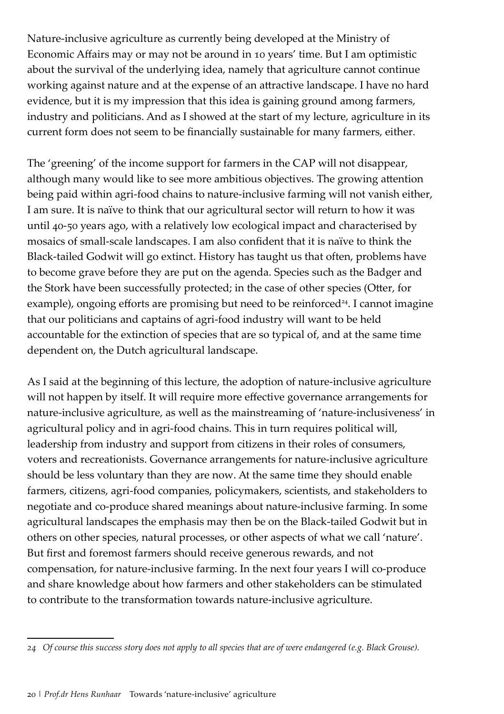Nature-inclusive agriculture as currently being developed at the Ministry of Economic Affairs may or may not be around in 10 years' time. But I am optimistic about the survival of the underlying idea, namely that agriculture cannot continue working against nature and at the expense of an attractive landscape. I have no hard evidence, but it is my impression that this idea is gaining ground among farmers, industry and politicians. And as I showed at the start of my lecture, agriculture in its current form does not seem to be financially sustainable for many farmers, either.

The 'greening' of the income support for farmers in the CAP will not disappear, although many would like to see more ambitious objectives. The growing attention being paid within agri-food chains to nature-inclusive farming will not vanish either, I am sure. It is naïve to think that our agricultural sector will return to how it was until 40-50 years ago, with a relatively low ecological impact and characterised by mosaics of small-scale landscapes. I am also confident that it is naïve to think the Black-tailed Godwit will go extinct. History has taught us that often, problems have to become grave before they are put on the agenda. Species such as the Badger and the Stork have been successfully protected; in the case of other species (Otter, for example), ongoing efforts are promising but need to be reinforced<sup>24</sup>. I cannot imagine that our politicians and captains of agri-food industry will want to be held accountable for the extinction of species that are so typical of, and at the same time dependent on, the Dutch agricultural landscape.

As I said at the beginning of this lecture, the adoption of nature-inclusive agriculture will not happen by itself. It will require more effective governance arrangements for nature-inclusive agriculture, as well as the mainstreaming of 'nature-inclusiveness' in agricultural policy and in agri-food chains. This in turn requires political will, leadership from industry and support from citizens in their roles of consumers, voters and recreationists. Governance arrangements for nature-inclusive agriculture should be less voluntary than they are now. At the same time they should enable farmers, citizens, agri-food companies, policymakers, scientists, and stakeholders to negotiate and co-produce shared meanings about nature-inclusive farming. In some agricultural landscapes the emphasis may then be on the Black-tailed Godwit but in others on other species, natural processes, or other aspects of what we call 'nature'. But first and foremost farmers should receive generous rewards, and not compensation, for nature-inclusive farming. In the next four years I will co-produce and share knowledge about how farmers and other stakeholders can be stimulated to contribute to the transformation towards nature-inclusive agriculture.

<sup>24</sup> Of course this success story does not apply to all species that are of were endangered (e.g. Black Grouse).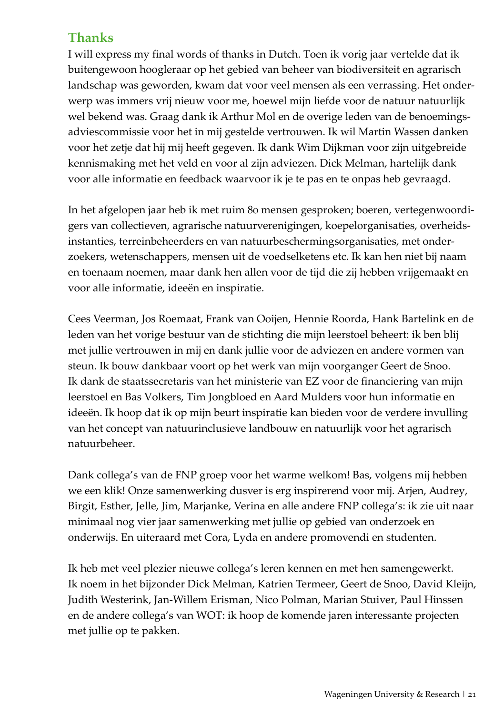## **Thanks**

I will express my final words of thanks in Dutch. Toen ik vorig jaar vertelde dat ik buitengewoon hoogleraar op het gebied van beheer van biodiversiteit en agrarisch landschap was geworden, kwam dat voor veel mensen als een verrassing. Het onderwerp was immers vrij nieuw voor me, hoewel mijn liefde voor de natuur natuurlijk wel bekend was. Graag dank ik Arthur Mol en de overige leden van de benoemingsadviescommissie voor het in mij gestelde vertrouwen. Ik wil Martin Wassen danken voor het zetje dat hij mij heeft gegeven. Ik dank Wim Dijkman voor zijn uitgebreide kennismaking met het veld en voor al zijn adviezen. Dick Melman, hartelijk dank voor alle informatie en feedback waarvoor ik je te pas en te onpas heb gevraagd.

In het afgelopen jaar heb ik met ruim 80 mensen gesproken; boeren, vertegenwoordigers van collectieven, agrarische natuurverenigingen, koepelorganisaties, overheidsinstanties, terreinbeheerders en van natuurbeschermingsorganisaties, met onderzoekers, wetenschappers, mensen uit de voedselketens etc. Ik kan hen niet bij naam en toenaam noemen, maar dank hen allen voor de tijd die zij hebben vrijgemaakt en voor alle informatie, ideeën en inspiratie.

Cees Veerman, Jos Roemaat, Frank van Ooijen, Hennie Roorda, Hank Bartelink en de leden van het vorige bestuur van de stichting die mijn leerstoel beheert: ik ben blij met jullie vertrouwen in mij en dank jullie voor de adviezen en andere vormen van steun. Ik bouw dankbaar voort op het werk van mijn voorganger Geert de Snoo. Ik dank de staatssecretaris van het ministerie van EZ voor de financiering van mijn leerstoel en Bas Volkers, Tim Jongbloed en Aard Mulders voor hun informatie en ideeën. Ik hoop dat ik op mijn beurt inspiratie kan bieden voor de verdere invulling van het concept van natuurinclusieve landbouw en natuurlijk voor het agrarisch natuurbeheer.

Dank collega's van de FNP groep voor het warme welkom! Bas, volgens mij hebben we een klik! Onze samenwerking dusver is erg inspirerend voor mij. Arjen, Audrey, Birgit, Esther, Jelle, Jim, Marjanke, Verina en alle andere FNP collega's: ik zie uit naar minimaal nog vier jaar samenwerking met jullie op gebied van onderzoek en onderwijs. En uiteraard met Cora, Lyda en andere promovendi en studenten.

Ik heb met veel plezier nieuwe collega's leren kennen en met hen samengewerkt. Ik noem in het bijzonder Dick Melman, Katrien Termeer, Geert de Snoo, David Kleijn, Judith Westerink, Jan-Willem Erisman, Nico Polman, Marian Stuiver, Paul Hinssen en de andere collega's van WOT: ik hoop de komende jaren interessante projecten met jullie op te pakken.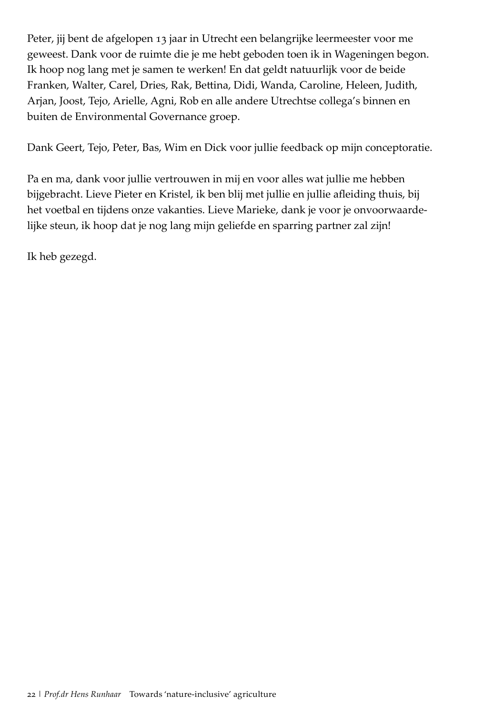Peter, jij bent de afgelopen 13 jaar in Utrecht een belangrijke leermeester voor me geweest. Dank voor de ruimte die je me hebt geboden toen ik in Wageningen begon. Ik hoop nog lang met je samen te werken! En dat geldt natuurlijk voor de beide Franken, Walter, Carel, Dries, Rak, Bettina, Didi, Wanda, Caroline, Heleen, Judith, Arjan, Joost, Tejo, Arielle, Agni, Rob en alle andere Utrechtse collega's binnen en buiten de Environmental Governance groep.

Dank Geert, Tejo, Peter, Bas, Wim en Dick voor jullie feedback op mijn conceptoratie.

Pa en ma, dank voor jullie vertrouwen in mij en voor alles wat jullie me hebben bijgebracht. Lieve Pieter en Kristel, ik ben blij met jullie en jullie afleiding thuis, bij het voetbal en tijdens onze vakanties. Lieve Marieke, dank je voor je onvoorwaardelijke steun, ik hoop dat je nog lang mijn geliefde en sparring partner zal zijn!

Ik heb gezegd.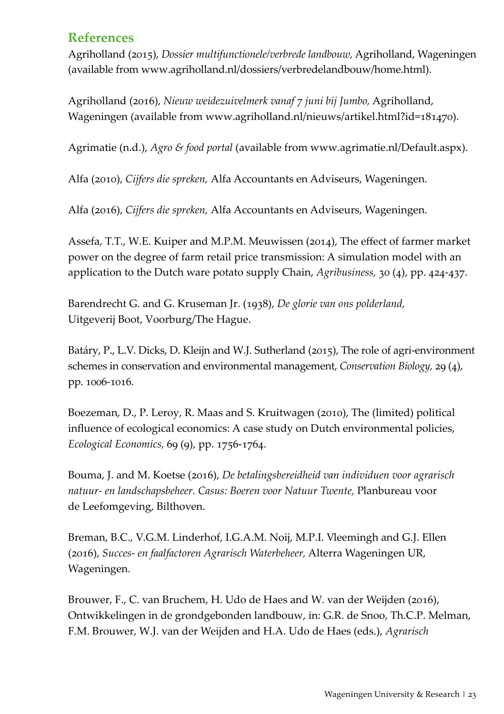### **References**

Agriholland (2015), *Dossier multifunctionele/verbrede landbouw,* Agriholland, Wageningen (available from [www.agriholland.nl/dossiers/verbredelandbouw/home.html](http://www.agriholland.nl/dossiers/verbredelandbouw/home.html)).

Agriholland (2016), *Nieuw weidezuivelmerk vanaf 7 juni bij Jumbo,* Agriholland, Wageningen (available from [www.agriholland.nl/nieuws/artikel.html?id=181470](http://www.agriholland.nl/nieuws/artikel.html?id=181470)).

Agrimatie (n.d.), *Agro & food portal* (available from [www.agrimatie.nl/Default.aspx\)](http://www.agrimatie.nl/Default.aspx).

Alfa (2010), *Cijfers die spreken,* Alfa Accountants en Adviseurs, Wageningen.

Alfa (2016), *Cijfers die spreken,* Alfa Accountants en Adviseurs, Wageningen.

[Assefa,](https://www-scopus-com.proxy.library.uu.nl/authid/detail.uri?origin=resultslist&authorId=35785743800&zone=) T.T., W.E. Kuiper and [M.P.M.](https://www-scopus-com.proxy.library.uu.nl/authid/detail.uri?origin=resultslist&authorId=6603607554&zone=) [Meuwissen](https://www-scopus-com.proxy.library.uu.nl/authid/detail.uri?origin=resultslist&authorId=7003942968&zone=) (2014), The effect of farmer [market](https://www-scopus-com.proxy.library.uu.nl/record/display.uri?eid=2-s2.0-84925937402&origin=resultslist&sort=plf-f&src=s&st1=farmers+%22market+power%22+price&st2=&sid=4401DB1D4013B0ADD602AA5406F779C1.y7ESLndDIsN8cE7qwvy6w%3a560&sot=b&sdt=b&sl=43&s=TITLE-ABS-KEY%28farmers+%22market+power%22+price%29&relpos=5&citeCnt=2&searchTerm=) [power on the degree of farm retail price transmission: A simulation model with](https://www-scopus-com.proxy.library.uu.nl/record/display.uri?eid=2-s2.0-84925937402&origin=resultslist&sort=plf-f&src=s&st1=farmers+%22market+power%22+price&st2=&sid=4401DB1D4013B0ADD602AA5406F779C1.y7ESLndDIsN8cE7qwvy6w%3a560&sot=b&sdt=b&sl=43&s=TITLE-ABS-KEY%28farmers+%22market+power%22+price%29&relpos=5&citeCnt=2&searchTerm=) an [application](https://www-scopus-com.proxy.library.uu.nl/record/display.uri?eid=2-s2.0-84925937402&origin=resultslist&sort=plf-f&src=s&st1=farmers+%22market+power%22+price&st2=&sid=4401DB1D4013B0ADD602AA5406F779C1.y7ESLndDIsN8cE7qwvy6w%3a560&sot=b&sdt=b&sl=43&s=TITLE-ABS-KEY%28farmers+%22market+power%22+price%29&relpos=5&citeCnt=2&searchTerm=) to the Dutch ware potato supply Chain, *[Agribusiness](https://www-scopus-com.proxy.library.uu.nl/source/sourceInfo.uri?sourceId=18700156722&origin=resultslist),* 30 (4), pp. 424-437.

Barendrecht G. and G. Kruseman Jr. (1938), *De glorie van ons polderland,* Uitgeverij Boot, Voorburg/The Hague.

[Batáry,](https://www-scopus-com.proxy.library.uu.nl/authid/detail.uri?origin=resultslist&authorId=9041992700&zone=) P., L.V. Dicks, D. Kleijn and W.J. Sutherland (2015), The role of [agri-environment](https://www-scopus-com.proxy.library.uu.nl/record/display.uri?eid=2-s2.0-84937073660&origin=resultslist&sort=plf-f&src=s&st1=AES+nature+conservation+Europe&st2=&sid=525255530C129A8D48741D1B92164A3A.I0QkgbIjGqqLQ4Nw7dqZ4A%3a380&sot=b&sdt=b&sl=45&s=TITLE-ABS-KEY%28AES+nature+conservation+Europe%29&relpos=0&citeCnt=12&searchTerm=) schemes in conservation and [environmental](https://www-scopus-com.proxy.library.uu.nl/record/display.uri?eid=2-s2.0-84937073660&origin=resultslist&sort=plf-f&src=s&st1=AES+nature+conservation+Europe&st2=&sid=525255530C129A8D48741D1B92164A3A.I0QkgbIjGqqLQ4Nw7dqZ4A%3a380&sot=b&sdt=b&sl=45&s=TITLE-ABS-KEY%28AES+nature+conservation+Europe%29&relpos=0&citeCnt=12&searchTerm=) management, *[Conservation](https://www-scopus-com.proxy.library.uu.nl/source/sourceInfo.uri?sourceId=17822&origin=resultslist) Biology,* 29 (4), pp. 1006-1016.

[Boezeman,](https://www-scopus-com.proxy.library.uu.nl/authid/detail.uri?origin=AuthorProfile&authorId=36015077100&zone=) D., P. [Leroy,](https://www-scopus-com.proxy.library.uu.nl/authid/detail.uri?origin=AuthorProfile&authorId=7103200758&zone=) R. [Maas](https://www-scopus-com.proxy.library.uu.nl/authid/detail.uri?origin=AuthorProfile&authorId=35804494100&zone=) and S. [Kruitwagen](https://www-scopus-com.proxy.library.uu.nl/authid/detail.uri?origin=AuthorProfile&authorId=8101013700&zone=) (2010), The [\(limited\)](https://www-scopus-com.proxy.library.uu.nl/record/display.uri?eid=2-s2.0-77955555194&origin=resultslist&sort=plf-f&src=s&sid=9A308AA38F3209679F089F940AC0C0FE.WeLimyRvBMk2ky9SFKc8Q%3a360&sot=autdocs&sdt=autdocs&sl=17&s=AU-ID%287103200758%29&relpos=13&citeCnt=9&searchTerm=) political influence of ecological economics: A case study on Dutch [environmental](https://www-scopus-com.proxy.library.uu.nl/record/display.uri?eid=2-s2.0-77955555194&origin=resultslist&sort=plf-f&src=s&sid=9A308AA38F3209679F089F940AC0C0FE.WeLimyRvBMk2ky9SFKc8Q%3a360&sot=autdocs&sdt=autdocs&sl=17&s=AU-ID%287103200758%29&relpos=13&citeCnt=9&searchTerm=) policies, *Ecological [Economics,](https://www-scopus-com.proxy.library.uu.nl/source/sourceInfo.uri?sourceId=20290&origin=resultslist)* 69 (9), pp. 1756-1764.

Bouma, J. and M. Koetse (2016), *De betalingsbereidheid van individuen voor agrarisch natuur- en landschapsbeheer. Casus: Boeren voor Natuur Twente,* Planbureau voor de Leefomgeving, Bilthoven.

Breman, B.C., V.G.M. Linderhof, I.G.A.M. Noij, M.P.I. Vleemingh and G.J. Ellen (2016), *Succes- en faalfactoren Agrarisch Waterbeheer,* Alterra Wageningen UR, Wageningen.

Brouwer, F., C. van Bruchem, H. Udo de Haes and W. van der Weijden (2016), Ontwikkelingen in de grondgebonden landbouw, in: G.R. de Snoo, Th.C.P. Melman, F.M. Brouwer, W.J. van der Weijden and H.A. Udo de Haes (eds.), *Agrarisch*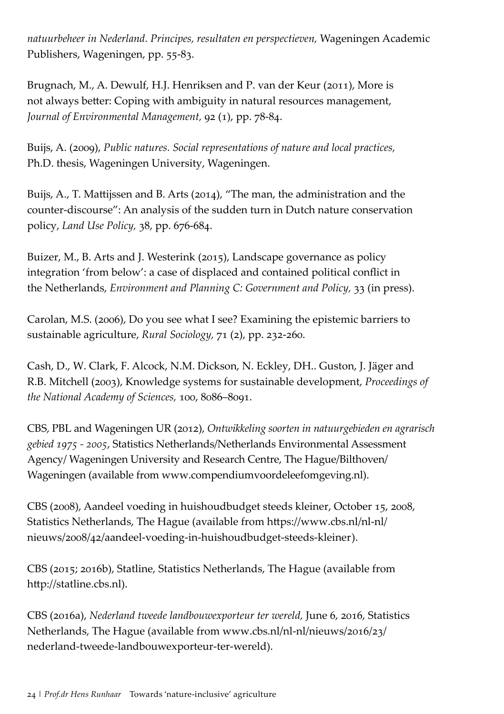*natuurbeheer in Nederland. Principes, resultaten en perspectieven,* Wageningen Academic Publishers, Wageningen, pp. 55-83.

[Brugnach,](https://www-scopus-com.proxy.library.uu.nl/authid/detail.uri?origin=AuthorProfile&authorId=55943343700&zone=) M., A. [Dewulf,](https://www-scopus-com.proxy.library.uu.nl/authid/detail.uri?origin=AuthorProfile&authorId=23060363600&zone=) H.J. [Henriksen](https://www-scopus-com.proxy.library.uu.nl/authid/detail.uri?origin=AuthorProfile&authorId=56219445300&zone=) and P. van der Keur [\(2011\),](https://www-scopus-com.proxy.library.uu.nl/authid/detail.uri?origin=AuthorProfile&authorId=6507142112&zone=) [More](https://www-scopus-com.proxy.library.uu.nl/record/display.uri?eid=2-s2.0-77957772375&origin=resultslist&sort=plf-f&src=s&sid=5B441A78E0B52E288AC6B2496423EE9C.fM4vPBipdL1BpirDq5Cw%3a140&sot=autdocs&sdt=autdocs&sl=18&s=AU-ID%2823060363600%29&relpos=30&citeCnt=35&searchTerm=) is not always better: Coping with ambiguity in natural resources [management,](https://www-scopus-com.proxy.library.uu.nl/record/display.uri?eid=2-s2.0-77957772375&origin=resultslist&sort=plf-f&src=s&sid=5B441A78E0B52E288AC6B2496423EE9C.fM4vPBipdL1BpirDq5Cw%3a140&sot=autdocs&sdt=autdocs&sl=18&s=AU-ID%2823060363600%29&relpos=30&citeCnt=35&searchTerm=) *Journal of [Environmental](https://www-scopus-com.proxy.library.uu.nl/source/sourceInfo.uri?sourceId=23371&origin=resultslist) Management,* 92 (1), pp. 78-84.

Buijs, A. (2009), *Public natures. Social representations of nature and local practices,* Ph.D. thesis, Wageningen University, Wageningen.

[Buijs,](https://www-scopus-com.proxy.library.uu.nl/authid/detail.uri?origin=AuthorProfile&authorId=13006044400&zone=) A., T. [Mattijssen](https://www-scopus-com.proxy.library.uu.nl/authid/detail.uri?origin=AuthorProfile&authorId=55657293000&zone=) and B. [Arts](https://www-scopus-com.proxy.library.uu.nl/authid/detail.uri?origin=AuthorProfile&authorId=6602227423&zone=) (2014), "The man, the [administration](https://www-scopus-com.proxy.library.uu.nl/record/display.uri?eid=2-s2.0-84897468352&origin=resultslist&sort=plf-f&src=s&sid=9A308AA38F3209679F089F940AC0C0FE.WeLimyRvBMk2ky9SFKc8Q%3a870&sot=autdocs&sdt=autdocs&sl=17&s=AU-ID%286602227423%29&relpos=22&citeCnt=7&searchTerm=) and the [counter-discourse":](https://www-scopus-com.proxy.library.uu.nl/record/display.uri?eid=2-s2.0-84897468352&origin=resultslist&sort=plf-f&src=s&sid=9A308AA38F3209679F089F940AC0C0FE.WeLimyRvBMk2ky9SFKc8Q%3a870&sot=autdocs&sdt=autdocs&sl=17&s=AU-ID%286602227423%29&relpos=22&citeCnt=7&searchTerm=) An analysis of the sudden turn in Dutch nature conservation [policy](https://www-scopus-com.proxy.library.uu.nl/record/display.uri?eid=2-s2.0-84897468352&origin=resultslist&sort=plf-f&src=s&sid=9A308AA38F3209679F089F940AC0C0FE.WeLimyRvBMk2ky9SFKc8Q%3a870&sot=autdocs&sdt=autdocs&sl=17&s=AU-ID%286602227423%29&relpos=22&citeCnt=7&searchTerm=), *Land Use [Policy](https://www-scopus-com.proxy.library.uu.nl/source/sourceInfo.uri?sourceId=14500&origin=resultslist),* 38, pp. 676-684.

Buizer, M., B. Arts and J. Westerink (2015), Landscape governance as policy integration 'from below': a case of displaced and contained political conflict in the Netherlands, *Environment and Planning C: Government and Policy,* 33 (in press).

[Carolan,](https://www-scopus-com.proxy.library.uu.nl/authid/detail.uri?origin=resultslist&authorId=7004240106&zone=) M.S. (2006), Do you see what I see? [Examining](https://www-scopus-com.proxy.library.uu.nl/record/display.uri?eid=2-s2.0-33745447965&origin=resultslist&sort=r-f&src=s&st1=barriers+sustainable+agriculture&nlo=&nlr=&nls=&sid=ED6E51C0AD7EBB6D61EC2FC39A31367E.WlW7NKKC52nnQNxjqAQrlA%3a200&sot=b&sdt=b&sl=47&s=TITLE-ABS-KEY%28barriers+sustainable+agriculture%29&relpos=4&citeCnt=33&searchTerm=) the epistemic barriers to [sustainable](https://www-scopus-com.proxy.library.uu.nl/record/display.uri?eid=2-s2.0-33745447965&origin=resultslist&sort=r-f&src=s&st1=barriers+sustainable+agriculture&nlo=&nlr=&nls=&sid=ED6E51C0AD7EBB6D61EC2FC39A31367E.WlW7NKKC52nnQNxjqAQrlA%3a200&sot=b&sdt=b&sl=47&s=TITLE-ABS-KEY%28barriers+sustainable+agriculture%29&relpos=4&citeCnt=33&searchTerm=) agriculture, *Rural [Sociology](https://www-scopus-com.proxy.library.uu.nl/source/sourceInfo.uri?sourceId=17389&origin=resultslist),* 71 (2), pp. 232-260.

Cash, D., W. Clark, F. Alcock, N.M. Dickson, N. Eckley, DH.. Guston, J. Jäger and R.B. Mitchell (2003), Knowledge systems for sustainable development, *Proceedings of the National Academy of Sciences,* 100, 8086–8091.

CBS, PBL and Wageningen UR (2012), *Ontwikkeling soorten in natuurgebieden en agrarisch gebied 1975 - 2005*, Statistics Netherlands/Netherlands Environmental Assessment Agency/ Wageningen University and Research Centre, The Hague/Bilthoven/ Wageningen (available from [www.compendiumvoordeleefomgeving.nl](http://www.compendiumvoordeleefomgeving.nl/)).

CBS (2008), Aandeel voeding in huishoudbudget steeds kleiner, October 15, 2008, Statistics Netherlands, The Hague (available from [https://www.cbs.nl/nl-nl/](https://www.cbs.nl/nl-nl/nieuws/2008/42/aandeel-voeding-in-huishoudbudget-steeds-kleiner) [nieuws/2008/42/aandeel-voeding-in-huishoudbudget-steeds-kleiner\)](https://www.cbs.nl/nl-nl/nieuws/2008/42/aandeel-voeding-in-huishoudbudget-steeds-kleiner).

CBS (2015; 2016b), Statline, Statistics Netherlands, The Hague (available from <http://statline.cbs.nl>).

CBS (2016a), *Nederland tweede landbouwexporteur ter wereld,* June 6, 2016, Statistics Netherlands, The Hague (available from [www.cbs.nl/nl-nl/nieuws/2016/23/](http://www.cbs.nl/nl-nl/nieuws/2016/23/nederland-tweede-landbouwexporteur-ter-wereld) [nederland-tweede-landbouwexporteur-ter-wereld](http://www.cbs.nl/nl-nl/nieuws/2016/23/nederland-tweede-landbouwexporteur-ter-wereld)).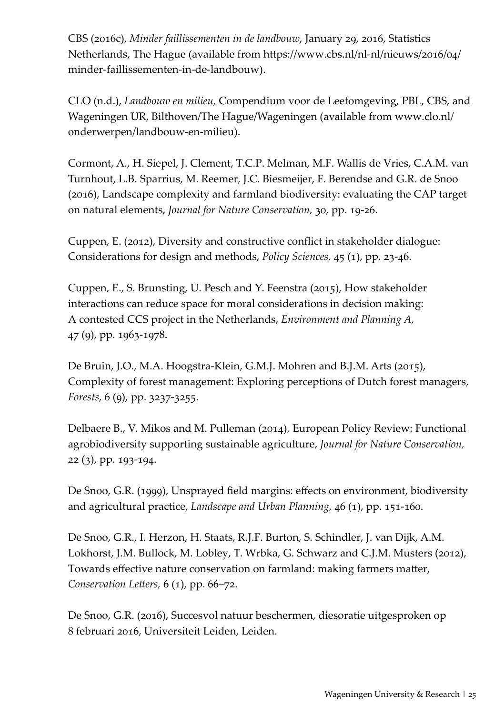CBS (2016c), *Minder faillissementen in de landbouw,* January 29, 2016, Statistics Netherlands, The Hague (available from [https://www.cbs.nl/nl-nl/nieuws/2016/04/](https://www.cbs.nl/nl-nl/nieuws/2016/04/minder-faillissementen-in-de-landbouw) [minder-faillissementen-in-de-landbouw](https://www.cbs.nl/nl-nl/nieuws/2016/04/minder-faillissementen-in-de-landbouw)).

CLO (n.d.), *Landbouw en milieu,* Compendium voor de Leefomgeving, PBL, CBS, and Wageningen UR, Bilthoven/The Hague/Wageningen (available from [www.clo.nl/](http://www.clo.nl/onderwerpen/landbouw-en-milieu) [onderwerpen/landbouw-en-milieu](http://www.clo.nl/onderwerpen/landbouw-en-milieu)).

Cormont, A., H. Siepel, J. Clement, T.C.P. Melman, M.F. Wallis de Vries, C.A.M. van Turnhout, L.B. Sparrius, M. Reemer, J.C. Biesmeijer, F. Berendse and G.R. de Snoo (2016), Landscape complexity and farmland biodiversity: evaluating the CAP target on natural elements, *Journal for Nature Conservation,* 30, pp. 19-26.

[Cuppen,](https://www-scopus-com.proxy.library.uu.nl/authid/detail.uri?origin=AuthorProfile&authorId=24758098900&zone=) E. (2012), Diversity and [constructive](https://www-scopus-com.proxy.library.uu.nl/record/display.uri?eid=2-s2.0-84857644370&origin=resultslist&sort=plf-f&src=s&sid=9A308AA38F3209679F089F940AC0C0FE.WeLimyRvBMk2ky9SFKc8Q%3a150&sot=autdocs&sdt=autdocs&sl=18&s=AU-ID%2824758098900%29&relpos=12&citeCnt=24&searchTerm=) conflict in stakeholder dialogue: [Considerations](https://www-scopus-com.proxy.library.uu.nl/record/display.uri?eid=2-s2.0-84857644370&origin=resultslist&sort=plf-f&src=s&sid=9A308AA38F3209679F089F940AC0C0FE.WeLimyRvBMk2ky9SFKc8Q%3a150&sot=autdocs&sdt=autdocs&sl=18&s=AU-ID%2824758098900%29&relpos=12&citeCnt=24&searchTerm=) for design and methods, *Policy [Sciences,](https://www-scopus-com.proxy.library.uu.nl/source/sourceInfo.uri?sourceId=22773&origin=resultslist)* 45 (1), pp. 23-46.

[Cuppen,](https://www-scopus-com.proxy.library.uu.nl/authid/detail.uri?origin=AuthorProfile&authorId=24758098900&zone=) E., S. [Brunsting,](https://www-scopus-com.proxy.library.uu.nl/authid/detail.uri?origin=AuthorProfile&authorId=6506703000&zone=) U. [Pesch](https://www-scopus-com.proxy.library.uu.nl/authid/detail.uri?origin=AuthorProfile&authorId=22958422700&zone=) and Y. [Feenstra](https://www-scopus-com.proxy.library.uu.nl/authid/detail.uri?origin=AuthorProfile&authorId=26431913600&zone=) (2015), How [stakeholder](https://www-scopus-com.proxy.library.uu.nl/record/display.uri?eid=2-s2.0-84946839141&origin=resultslist&sort=plf-f&src=s&sid=9A308AA38F3209679F089F940AC0C0FE.WeLimyRvBMk2ky9SFKc8Q%3a150&sot=autdocs&sdt=autdocs&sl=18&s=AU-ID%2824758098900%29&relpos=6&citeCnt=1&searchTerm=) [interactions can reduce space for moral considerations in decision making:](https://www-scopus-com.proxy.library.uu.nl/record/display.uri?eid=2-s2.0-84946839141&origin=resultslist&sort=plf-f&src=s&sid=9A308AA38F3209679F089F940AC0C0FE.WeLimyRvBMk2ky9SFKc8Q%3a150&sot=autdocs&sdt=autdocs&sl=18&s=AU-ID%2824758098900%29&relpos=6&citeCnt=1&searchTerm=)  A contested CCS project in the [Netherlands,](https://www-scopus-com.proxy.library.uu.nl/record/display.uri?eid=2-s2.0-84946839141&origin=resultslist&sort=plf-f&src=s&sid=9A308AA38F3209679F089F940AC0C0FE.WeLimyRvBMk2ky9SFKc8Q%3a150&sot=autdocs&sdt=autdocs&sl=18&s=AU-ID%2824758098900%29&relpos=6&citeCnt=1&searchTerm=) *[Environment](https://www-scopus-com.proxy.library.uu.nl/source/sourceInfo.uri?sourceId=13272&origin=resultslist) and Planning A,* 47 (9), pp. 1963-1978.

De [Bruin,](https://www-scopus-com.proxy.library.uu.nl/authid/detail.uri?origin=AuthorProfile&authorId=56950269900&zone=) J.O., M.A. [Hoogstra-Klein,](https://www-scopus-com.proxy.library.uu.nl/authid/detail.uri?origin=AuthorProfile&authorId=54911968400&zone=) G.M.J. [Mohren](https://www-scopus-com.proxy.library.uu.nl/authid/detail.uri?origin=AuthorProfile&authorId=6603785133&zone=) and B.J.M. [Arts](https://www-scopus-com.proxy.library.uu.nl/authid/detail.uri?origin=AuthorProfile&authorId=6602227423&zone=) (2015), Complexity of forest [management:](https://www-scopus-com.proxy.library.uu.nl/record/display.uri?eid=2-s2.0-84946606799&origin=resultslist&sort=plf-f&src=s&sid=9A308AA38F3209679F089F940AC0C0FE.WeLimyRvBMk2ky9SFKc8Q%3a1070&sot=autdocs&sdt=autdocs&sl=18&s=AU-ID%2854911968400%29&relpos=2&citeCnt=0&searchTerm=) Exploring perceptions of Dutch forest managers, *[Forests,](https://www-scopus-com.proxy.library.uu.nl/source/sourceInfo.uri?sourceId=21100219934&origin=resultslist)* 6 (9), pp. 3237-3255.

Delbaere B., V. Mikos and M. Pulleman (2014), European Policy Review: Functional agrobiodiversity supporting sustainable agriculture, *Journal for Nature Conservation,* 22 (3), pp. 193-194.

De Snoo, G.R. (1999), Unsprayed field margins: effects on environment, biodiversity and agricultural practice, *Landscape and Urban Planning,* 46 (1), pp. 151-160.

De Snoo, G.R., I. Herzon, H. Staats, R.J.F. Burton, S. Schindler, J. van Dijk, A.M. Lokhorst, J.M. Bullock, M. Lobley, T. Wrbka, G. Schwarz and C.J.M. Musters (2012), Towards effective nature conservation on farmland: making farmers matter, *Conservation Letters,* 6 (1), pp. 66–72.

De Snoo, G.R. (2016), Succesvol natuur beschermen, diesoratie uitgesproken op 8 februari 2016, Universiteit Leiden, Leiden.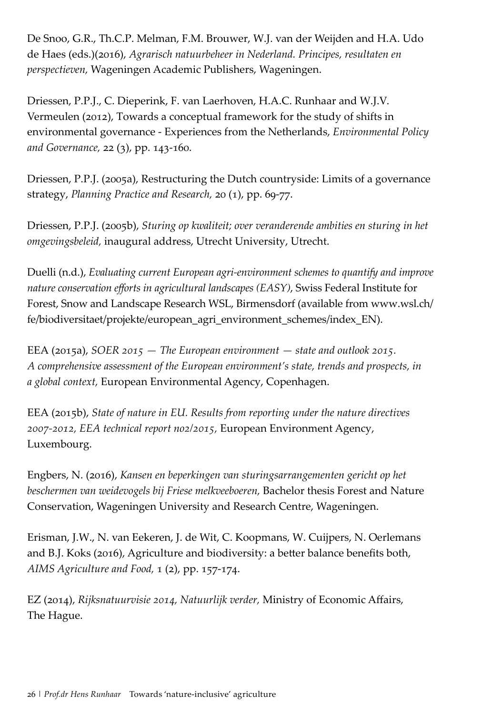De Snoo, G.R., Th.C.P. Melman, F.M. Brouwer, W.J. van der Weijden and H.A. Udo de Haes (eds.)(2016), *Agrarisch natuurbeheer in Nederland. Principes, resultaten en perspectieven,* Wageningen Academic Publishers, Wageningen.

Driessen, P.P.J., C. Dieperink, F. van Laerhoven, H.A.C. Runhaar and W.J.V. Vermeulen (2012), Towards a conceptual framework for the study of shifts in environmental governance - Experiences from the Netherlands, *Environmental Policy and Governance,* 22 (3), pp. 143-160.

[Driessen,](https://www-scopus-com.proxy.library.uu.nl/authid/detail.uri?origin=AuthorProfile&authorId=7006761167&zone=) P.P.J. (2005a), [Restructuring](https://www-scopus-com.proxy.library.uu.nl/record/display.uri?eid=2-s2.0-27644486002&origin=resultslist&sort=plf-f&src=s&sid=6915B463E5D55DD2823DC24187EB9745.N5T5nM1aaTEF8rE6yKCR3A%3a200&sot=autdocs&sdt=autdocs&sl=17&s=AU-ID%287006761167%29&relpos=66&citeCnt=4&searchTerm=) the Dutch countryside: Limits of a governance [strategy,](https://www-scopus-com.proxy.library.uu.nl/record/display.uri?eid=2-s2.0-27644486002&origin=resultslist&sort=plf-f&src=s&sid=6915B463E5D55DD2823DC24187EB9745.N5T5nM1aaTEF8rE6yKCR3A%3a200&sot=autdocs&sdt=autdocs&sl=17&s=AU-ID%287006761167%29&relpos=66&citeCnt=4&searchTerm=) *[Planning](https://www-scopus-com.proxy.library.uu.nl/source/sourceInfo.uri?sourceId=14683&origin=resultslist) Practice and Research,* 20 (1), pp. 69-77.

Driessen, P.P.J. (2005b), *Sturing op kwaliteit; over veranderende ambities en sturing in het omgevingsbeleid,* inaugural address, Utrecht University, Utrecht.

Duelli (n.d.), *Evaluating current European agri-environment schemes to quantify and improve nature conservation efforts in agricultural landscapes (EASY)*, Swiss Federal Institute for Forest, Snow and Landscape Research WSL, Birmensdorf (available from [www.wsl.ch/](http://www.wsl.ch/fe/biodiversitaet/projekte/european_agri_environment_schemes/index_EN) [fe/biodiversitaet/projekte/european\\_agri\\_environment\\_schemes/index\\_EN\)](http://www.wsl.ch/fe/biodiversitaet/projekte/european_agri_environment_schemes/index_EN).

EEA (2015a), *SOER 2015 — The European environment — state and outlook 2015. A comprehensive assessment of the European environment's state, trends and prospects, in a global context,* European Environmental Agency, Copenhagen.

EEA (2015b), *State of nature in EU. Results from reporting under the nature directives 2007-2012, EEA technical report no2/2015,* European Environment Agency, Luxembourg.

Engbers, N. (2016), *Kansen en beperkingen van sturingsarrangementen gericht op het beschermen van weidevogels bij Friese melkveeboeren,* Bachelor thesis Forest and Nature Conservation, Wageningen University and Research Centre, Wageningen.

Erisman, J.W., N. van Eekeren, J. de Wit, C. Koopmans, W. Cuijpers, N. Oerlemans and B.J. Koks (2016), Agriculture and biodiversity: a better balance benefits both, *AIMS Agriculture and Food,* 1 (2), pp. 157-174.

EZ (2014), *Rijksnatuurvisie 2014, Natuurlijk verder,* Ministry of Economic Affairs, The Hague.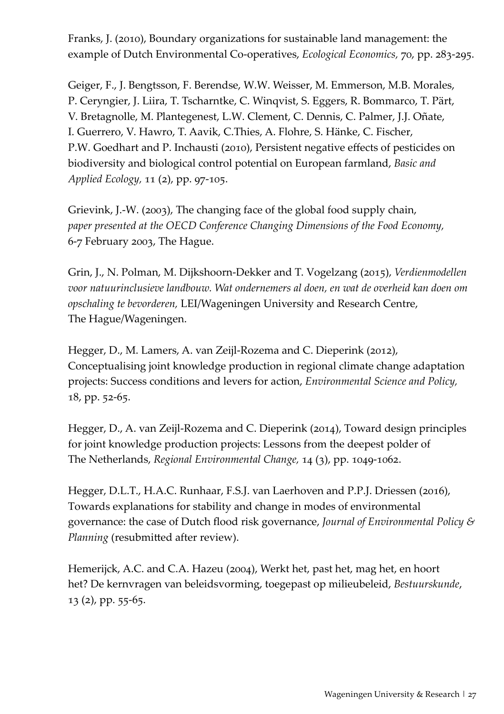Franks, J. (2010), Boundary organizations for sustainable land management: the example of Dutch Environmental Co-operatives, *Ecological Economics,* 70, pp. 283-295.

[Geiger,](http://www.scopus.com/authid/detail.url?origin=AuthorProfile&authorId=9535414400&zone=) F., J. [Bengtsson,](http://www.scopus.com/authid/detail.url?origin=AuthorProfile&authorId=35453268100&zone=) F. [Berendse,](http://www.scopus.com/authid/detail.url?origin=AuthorProfile&authorId=56240070800&zone=) W.W. [Weisser,](https://www-scopus-com.proxy.library.uu.nl/authid/detail.uri?authorId=7004605030&eid=2-s2.0-77049108156) M. Emmerson, M.B. Morales, P. Ceryngier, J. Liira, T. Tscharntke, C. Winqvist, S. Eggers, R. Bommarco, T. Pärt, V. Bretagnolle, M. [Plantegenest,](https://www-scopus-com.proxy.library.uu.nl/authid/detail.uri?authorId=55936583600&eid=2-s2.0-77049108156) L.W. [Clement,](https://www-scopus-com.proxy.library.uu.nl/authid/detail.uri?authorId=35733331400&eid=2-s2.0-77049108156) C. [Dennis,](https://www-scopus-com.proxy.library.uu.nl/authid/detail.uri?authorId=35733348300&eid=2-s2.0-77049108156) C. [Palmer,](https://www-scopus-com.proxy.library.uu.nl/authid/detail.uri?authorId=35734759700&eid=2-s2.0-77049108156) J.J. [Oñate,](https://www-scopus-com.proxy.library.uu.nl/authid/detail.uri?authorId=7004831147&eid=2-s2.0-77049108156) [I.](https://www-scopus-com.proxy.library.uu.nl/authid/detail.uri?authorId=7004831147&eid=2-s2.0-77049108156) [Guerrero,](https://www-scopus-com.proxy.library.uu.nl/authid/detail.uri?authorId=35733660700&eid=2-s2.0-77049108156) V. [Hawro,](https://www-scopus-com.proxy.library.uu.nl/authid/detail.uri?authorId=35310474700&eid=2-s2.0-77049108156) T. [Aavik,](https://www-scopus-com.proxy.library.uu.nl/authid/detail.uri?authorId=23987557500&eid=2-s2.0-77049108156) C.[Thies,](https://www-scopus-com.proxy.library.uu.nl/authid/detail.uri?authorId=7004477827&eid=2-s2.0-77049108156) A. [Flohre,](https://www-scopus-com.proxy.library.uu.nl/authid/detail.uri?authorId=35310226800&eid=2-s2.0-77049108156) S. [Hänke,](https://www-scopus-com.proxy.library.uu.nl/authid/detail.uri?authorId=35733663700&eid=2-s2.0-77049108156) C. [Fischer,](https://www-scopus-com.proxy.library.uu.nl/authid/detail.uri?authorId=35733793500&eid=2-s2.0-77049108156) P.W. [Goedhart](http://www.scopus.com/authid/detail.url?origin=AuthorProfile&authorId=6602084977&zone=) and P. [Inchausti](http://www.scopus.com/authid/detail.url?origin=AuthorProfile&authorId=6603996436&zone=) (2010), Persistent negative effects of [pesticides](http://www.scopus.com/record/display.uri?eid=2-s2.0-77049108156&origin=resultslist&sort=plf-f&src=s&sid=122AE2E08CF3BB8003D8D20AAE06C9F4.I0QkgbIjGqqLQ4Nw7dqZ4A%3a770&sot=autdocs&sdt=autdocs&sl=17&s=AU-ID%289535414400%29&relpos=8&citeCnt=203&searchTerm=) on [biodiversity](http://www.scopus.com/record/display.uri?eid=2-s2.0-77049108156&origin=resultslist&sort=plf-f&src=s&sid=122AE2E08CF3BB8003D8D20AAE06C9F4.I0QkgbIjGqqLQ4Nw7dqZ4A%3a770&sot=autdocs&sdt=autdocs&sl=17&s=AU-ID%289535414400%29&relpos=8&citeCnt=203&searchTerm=) and biological control potential on European farmland, *[Basic](http://www.scopus.com/source/sourceInfo.uri?sourceId=22800&origin=resultslist) and Applied [Ecology](http://www.scopus.com/source/sourceInfo.uri?sourceId=22800&origin=resultslist),* 11 (2), pp. 97-105.

Grievink, J.-W. (2003), The changing face of the global food supply chain, *paper presented at the OECD Conference Changing Dimensions of the Food Economy,* 6-7 February 2003, The Hague.

Grin, J., N. Polman, M. Dijkshoorn-Dekker and T. Vogelzang (2015), *Verdienmodellen voor natuurinclusieve landbouw. Wat ondernemers al doen, en wat de overheid kan doen om opschaling te bevorderen,* LEI/Wageningen University and Research Centre, The Hague/Wageningen.

[Hegger,](https://www-scopus-com.proxy.library.uu.nl/authid/detail.uri?origin=AuthorProfile&authorId=23018369000&zone=) D., M. [Lamers,](https://www-scopus-com.proxy.library.uu.nl/authid/detail.uri?origin=AuthorProfile&authorId=24070982500&zone=) A. van [Zeijl-Rozema](https://www-scopus-com.proxy.library.uu.nl/authid/detail.uri?origin=AuthorProfile&authorId=36505342900&zone=) and C. [Dieperink](https://www-scopus-com.proxy.library.uu.nl/authid/detail.uri?origin=AuthorProfile&authorId=56003592700&zone=) (2012), [Conceptualising](https://www-scopus-com.proxy.library.uu.nl/record/display.uri?eid=2-s2.0-84857673791&origin=resultslist&sort=plf-f&src=s&sid=536DF195959A78C3151294380205ADD2.ZmAySxCHIBxxTXbnsoe5w%3a260&sot=autdocs&sdt=autdocs&sl=18&s=AU-ID%2823018369000%29&relpos=6&citeCnt=66&searchTerm=) joint knowledge production in regional climate change adaptation projects: Success [conditions](https://www-scopus-com.proxy.library.uu.nl/record/display.uri?eid=2-s2.0-84857673791&origin=resultslist&sort=plf-f&src=s&sid=536DF195959A78C3151294380205ADD2.ZmAySxCHIBxxTXbnsoe5w%3a260&sot=autdocs&sdt=autdocs&sl=18&s=AU-ID%2823018369000%29&relpos=6&citeCnt=66&searchTerm=) and levers for action, *[Environmental](https://www-scopus-com.proxy.library.uu.nl/source/sourceInfo.uri?sourceId=21536&origin=resultslist) Science and Policy,* 18, pp. 52-65.

[Hegger,](https://www-scopus-com.proxy.library.uu.nl/authid/detail.uri?origin=AuthorProfile&authorId=23018369000&zone=) D., A. van [Zeijl-Rozema](https://www-scopus-com.proxy.library.uu.nl/authid/detail.uri?origin=AuthorProfile&authorId=36505342900&zone=) and C. [Dieperink](https://www-scopus-com.proxy.library.uu.nl/authid/detail.uri?origin=AuthorProfile&authorId=56003592700&zone=) (2014), Toward design [principles](https://www-scopus-com.proxy.library.uu.nl/record/display.uri?eid=2-s2.0-84900861889&origin=resultslist&sort=plf-f&src=s&sid=536DF195959A78C3151294380205ADD2.ZmAySxCHIBxxTXbnsoe5w%3a260&sot=autdocs&sdt=autdocs&sl=18&s=AU-ID%2823018369000%29&relpos=3&citeCnt=7&searchTerm=) [for joint knowledge production projects: Lessons from the deepest polder of](https://www-scopus-com.proxy.library.uu.nl/record/display.uri?eid=2-s2.0-84900861889&origin=resultslist&sort=plf-f&src=s&sid=536DF195959A78C3151294380205ADD2.ZmAySxCHIBxxTXbnsoe5w%3a260&sot=autdocs&sdt=autdocs&sl=18&s=AU-ID%2823018369000%29&relpos=3&citeCnt=7&searchTerm=)  [The Netherlands,](https://www-scopus-com.proxy.library.uu.nl/record/display.uri?eid=2-s2.0-84900861889&origin=resultslist&sort=plf-f&src=s&sid=536DF195959A78C3151294380205ADD2.ZmAySxCHIBxxTXbnsoe5w%3a260&sot=autdocs&sdt=autdocs&sl=18&s=AU-ID%2823018369000%29&relpos=3&citeCnt=7&searchTerm=) *Regional [Environmental](https://www-scopus-com.proxy.library.uu.nl/source/sourceInfo.uri?sourceId=144969&origin=resultslist) Change,* 14 (3), pp. 1049-1062.

Hegger, D.L.T., H.A.C. Runhaar, F.S.J. van Laerhoven and P.P.J. Driessen (2016), Towards explanations for stability and change in modes of environmental governance: the case of Dutch flood risk governance, *Journal of Environmental Policy & Planning* (resubmitted after review).

Hemerijck, A.C. and C.A. Hazeu (2004), Werkt het, past het, mag het, en hoort het? De kernvragen van beleidsvorming, toegepast op milieubeleid, *Bestuurskunde*, 13 (2), pp. 55-65.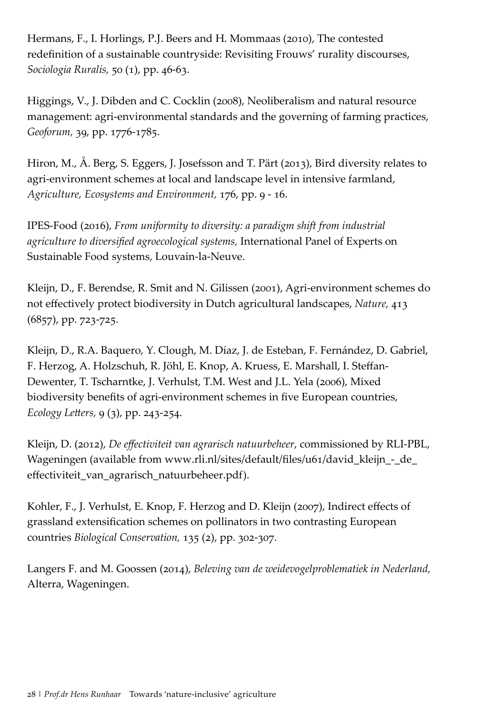[Hermans,](https://www-scopus-com.proxy.library.uu.nl/authid/detail.uri?origin=resultslist&authorId=15026344800&zone=) F., I. [Horlings,](https://www-scopus-com.proxy.library.uu.nl/authid/detail.uri?origin=resultslist&authorId=6506942934&zone=) P.J. [Beers](https://www-scopus-com.proxy.library.uu.nl/authid/detail.uri?origin=resultslist&authorId=7003458757&zone=) and H. [Mommaas](https://www-scopus-com.proxy.library.uu.nl/authid/detail.uri?origin=resultslist&authorId=6507160018&zone=) (2010), The [contested](https://www-scopus-com.proxy.library.uu.nl/record/display.uri?eid=2-s2.0-72549097655&origin=resultslist&sort=plf-f&src=s&st1=%22sustainable+agriculture%22+netherlands&st2=&sid=3340D84E24067B0975F06E26E06CFE1D.Vdktg6RVtMfaQJ4pNTCQ%3a400&sot=b&sdt=b&sl=52&s=TITLE-ABS-KEY%28%22sustainable+agriculture%22+netherlands%29&relpos=16&citeCnt=22&searchTerm=) redefinition of a sustainable [countryside:](https://www-scopus-com.proxy.library.uu.nl/record/display.uri?eid=2-s2.0-72549097655&origin=resultslist&sort=plf-f&src=s&st1=%22sustainable+agriculture%22+netherlands&st2=&sid=3340D84E24067B0975F06E26E06CFE1D.Vdktg6RVtMfaQJ4pNTCQ%3a400&sot=b&sdt=b&sl=52&s=TITLE-ABS-KEY%28%22sustainable+agriculture%22+netherlands%29&relpos=16&citeCnt=22&searchTerm=) Revisiting Frouws' rurality discourses, *[Sociologia](https://www-scopus-com.proxy.library.uu.nl/source/sourceInfo.uri?sourceId=18062&origin=resultslist) Ruralis,* 50 (1), pp. 46-63.

Higgings, V., J. Dibden and C. Cocklin (2008), Neoliberalism and natural resource management: agri-environmental standards and the governing of farming practices, *Geoforum,* 39, pp. 1776-1785.

Hiron, M., Å. Berg, S. Eggers, J. Josefsson and T. Pärt (2013), Bird diversity relates to agri-environment schemes at local and landscape level in intensive farmland, *Agriculture, Ecosystems and Environment,* 176, pp. 9 - 16.

IPES-Food (2016), *From uniformity to diversity: a paradigm shift from industrial agriculture to diversified agroecological systems,* International Panel of Experts on Sustainable Food systems, Louvain-la-Neuve.

[Kleijn,](https://www-scopus-com.proxy.library.uu.nl/authid/detail.uri?origin=AuthorProfile&authorId=6603715814&zone=) D., F. [Berendse,](https://www-scopus-com.proxy.library.uu.nl/authid/detail.uri?origin=AuthorProfile&authorId=56240070800&zone=) R. [Smit](https://www-scopus-com.proxy.library.uu.nl/authid/detail.uri?origin=AuthorProfile&authorId=7006188795&zone=) and N. [Gilissen](https://www-scopus-com.proxy.library.uu.nl/authid/detail.uri?origin=AuthorProfile&authorId=6507847033&zone=) (2001), [Agri-environment](https://www-scopus-com.proxy.library.uu.nl/record/display.uri?eid=2-s2.0-0035909258&origin=resultslist&sort=plf-f&src=s&sid=B962343FAFA8F079C842E757A05FCFCE.y7ESLndDIsN8cE7qwvy6w%3a620&sot=autdocs&sdt=autdocs&sl=18&s=AU-ID%2856240070800%29&relpos=117&citeCnt=406&searchTerm=) schemes do not effectively protect [biodiversity](https://www-scopus-com.proxy.library.uu.nl/record/display.uri?eid=2-s2.0-0035909258&origin=resultslist&sort=plf-f&src=s&sid=B962343FAFA8F079C842E757A05FCFCE.y7ESLndDIsN8cE7qwvy6w%3a620&sot=autdocs&sdt=autdocs&sl=18&s=AU-ID%2856240070800%29&relpos=117&citeCnt=406&searchTerm=) in Dutch agricultural landscapes, *[Nature,](https://www-scopus-com.proxy.library.uu.nl/source/sourceInfo.uri?sourceId=21206&origin=resultslist)* 413 (6857), pp. 723-725.

[Kleijn,](http://www.scopus.com/authid/detail.url?origin=resultslist&authorId=6603715814&zone=) D., R.A. [Baquero,](http://www.scopus.com/authid/detail.url?origin=resultslist&authorId=22952689100&zone=) Y. [Clough,](http://www.scopus.com/authid/detail.url?origin=resultslist&authorId=14021066400&zone=) M. [Díaz,](https://www-scopus-com.proxy.library.uu.nl/authid/detail.uri?authorId=16411700000&eid=2-s2.0-33644962874) J. de [Esteban,](https://www-scopus-com.proxy.library.uu.nl/authid/detail.uri?authorId=40161246600&eid=2-s2.0-33644962874) F. [Fernández,](https://www-scopus-com.proxy.library.uu.nl/authid/detail.uri?authorId=40161369300&eid=2-s2.0-33644962874) D. [Gabriel,](https://www-scopus-com.proxy.library.uu.nl/authid/detail.uri?authorId=12781515300&eid=2-s2.0-33644962874) [F.](https://www-scopus-com.proxy.library.uu.nl/authid/detail.uri?authorId=12781515300&eid=2-s2.0-33644962874) [Herzog,](https://www-scopus-com.proxy.library.uu.nl/authid/detail.uri?authorId=56248660800&eid=2-s2.0-33644962874) A. [Holzschuh,](https://www-scopus-com.proxy.library.uu.nl/authid/detail.uri?authorId=15757697300&eid=2-s2.0-33644962874) R. [Jöhl,](https://www-scopus-com.proxy.library.uu.nl/authid/detail.uri?authorId=40161637400&eid=2-s2.0-33644962874) E. [Knop,](https://www-scopus-com.proxy.library.uu.nl/authid/detail.uri?authorId=15519272400&eid=2-s2.0-33644962874) A. [Kruess,](https://www-scopus-com.proxy.library.uu.nl/authid/detail.uri?authorId=6603426820&eid=2-s2.0-33644962874) E. [Marshall,](https://www-scopus-com.proxy.library.uu.nl/authid/detail.uri?authorId=7402576150&eid=2-s2.0-33644962874) I. [Steffan-](https://www-scopus-com.proxy.library.uu.nl/authid/detail.uri?authorId=7004114191&eid=2-s2.0-33644962874)[Dewenter,](https://www-scopus-com.proxy.library.uu.nl/authid/detail.uri?authorId=7004114191&eid=2-s2.0-33644962874) T. [Tscharntke,](https://www-scopus-com.proxy.library.uu.nl/authid/detail.uri?authorId=7003472839&eid=2-s2.0-33644962874) J. [Verhulst,](https://www-scopus-com.proxy.library.uu.nl/authid/detail.uri?authorId=7005301894&eid=2-s2.0-33644962874) T.M. [West](http://www.scopus.com/authid/detail.url?origin=resultslist&authorId=12239704600&zone=) and J.L. [Yela](http://www.scopus.com/authid/detail.url?origin=resultslist&authorId=6603192645&zone=) (2006), [Mixed](http://www.scopus.com/record/display.url?eid=2-s2.0-33644962874&origin=resultslist&sort=cp-f&src=s&st1=agri-environment+schemes&nlo=&nlr=&nls=&sid=AC45C3BACF16E684239D55D73979EC06.fM4vPBipdL1BpirDq5Cw%3a3290&sot=b&sdt=b&sl=39&s=TITLE-ABS-KEY%28agri-environment+schemes%29&relpos=5&relpos=5&citeCnt=437&searchTerm=TITLE-ABS-KEY%28agri-environment+schemes%29) biodiversity benefits of [agri-environment](http://www.scopus.com/record/display.url?eid=2-s2.0-33644962874&origin=resultslist&sort=cp-f&src=s&st1=agri-environment+schemes&nlo=&nlr=&nls=&sid=AC45C3BACF16E684239D55D73979EC06.fM4vPBipdL1BpirDq5Cw%3a3290&sot=b&sdt=b&sl=39&s=TITLE-ABS-KEY%28agri-environment+schemes%29&relpos=5&relpos=5&citeCnt=437&searchTerm=TITLE-ABS-KEY%28agri-environment+schemes%29) schemes in five European countries, *[Ecology](http://www.scopus.com/source/sourceInfo.url?sourceId=14599&origin=resultslist) Letters,* 9 (3), pp. 243-254.

Kleijn, D. (2012), *De effectiviteit van agrarisch natuurbeheer*, commissioned by RLI-PBL, Wageningen (available from www.rli.nl/sites/default/files/u61/david kleijn - de effectiviteit van agrarisch natuurbeheer.pdf).

[Kohler,](https://www-scopus-com.proxy.library.uu.nl/authid/detail.uri?origin=resultslist&authorId=12768795800&zone=) F., J. [Verhulst,](https://www-scopus-com.proxy.library.uu.nl/authid/detail.uri?origin=resultslist&authorId=7005301894&zone=) E. [Knop,](https://www-scopus-com.proxy.library.uu.nl/authid/detail.uri?origin=resultslist&authorId=15519272400&zone=) F. [Herzog](https://www-scopus-com.proxy.library.uu.nl/authid/detail.uri?origin=resultslist&authorId=56248660800&zone=) and D. [Kleijn](https://www-scopus-com.proxy.library.uu.nl/authid/detail.uri?origin=resultslist&authorId=6603715814&zone=) (2007), [Indirect](https://www-scopus-com.proxy.library.uu.nl/record/display.uri?eid=2-s2.0-33845483686&origin=resultslist&sort=plf-f&src=s&st1=switzerland+agri-environment&nlo=&nlr=&nls=&sid=DC53B9A052A364FE6BE30EAC6E346A5E.WXhD7YyTQ6A7Pvk9AlA%3a160&sot=b&sdt=b&sl=43&s=TITLE-ABS-KEY%28switzerland+agri-environment%29&relpos=28&citeCnt=22&searchTerm=) effects of grassland [extensification](https://www-scopus-com.proxy.library.uu.nl/record/display.uri?eid=2-s2.0-33845483686&origin=resultslist&sort=plf-f&src=s&st1=switzerland+agri-environment&nlo=&nlr=&nls=&sid=DC53B9A052A364FE6BE30EAC6E346A5E.WXhD7YyTQ6A7Pvk9AlA%3a160&sot=b&sdt=b&sl=43&s=TITLE-ABS-KEY%28switzerland+agri-environment%29&relpos=28&citeCnt=22&searchTerm=) schemes on pollinators in two contrasting European [countries](https://www-scopus-com.proxy.library.uu.nl/record/display.uri?eid=2-s2.0-33845483686&origin=resultslist&sort=plf-f&src=s&st1=switzerland+agri-environment&nlo=&nlr=&nls=&sid=DC53B9A052A364FE6BE30EAC6E346A5E.WXhD7YyTQ6A7Pvk9AlA%3a160&sot=b&sdt=b&sl=43&s=TITLE-ABS-KEY%28switzerland+agri-environment%29&relpos=28&citeCnt=22&searchTerm=) *Biological [Conservation,](https://www-scopus-com.proxy.library.uu.nl/source/sourceInfo.uri?sourceId=17244&origin=resultslist)* 135 (2), pp. 302-307.

Langers F. and M. Goossen (2014), *Beleving van de weidevogelproblematiek in Nederland,* Alterra, Wageningen.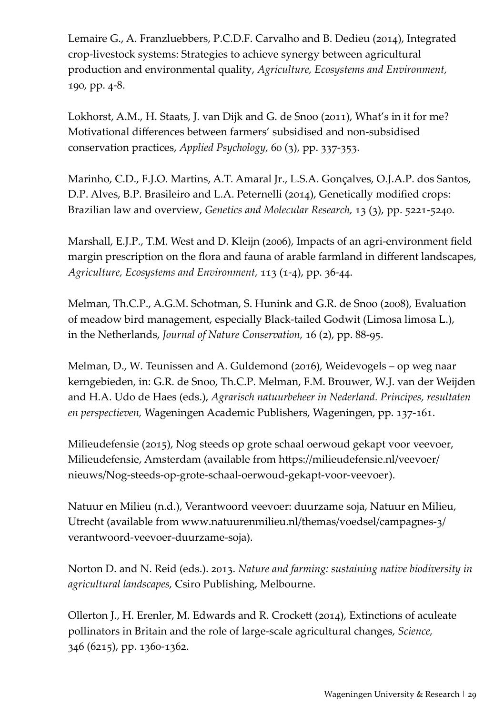Lemaire G., A. Franzluebbers, P.C.D.F. Carvalho and B. Dedieu (2014), Integrated crop-livestock systems: Strategies to achieve synergy between agricultural production and environmental quality, *Agriculture, Ecosystems and Environment,* 190, pp. 4-8.

[Lokhorst,](http://www.scopus.com/authid/detail.url?origin=AuthorProfile&authorId=29467714900&zone=) A.M., H. [Staats,](http://www.scopus.com/authid/detail.url?origin=AuthorProfile&authorId=7003313329&zone=) J. [v](http://www.scopus.com/authid/detail.url?origin=AuthorProfile&authorId=24069556000&zone=)an Dijk and G. [de](http://www.scopus.com/authid/detail.url?origin=AuthorProfile&authorId=6701724408&zone=) Snoo (2011), [What's](http://www.scopus.com/record/display.url?eid=2-s2.0-79956143408&origin=resultslist&sort=plf-f&src=s&sid=AC45C3BACF16E684239D55D73979EC06.fM4vPBipdL1BpirDq5Cw%3a4530&sot=autdocs&sdt=autdocs&sl=18&s=AU-ID%2829467714900%29&relpos=13&relpos=13&citeCnt=13&searchTerm=) in it for me? Motivational differences between farmers' subsidised and [non-subsidised](http://www.scopus.com/record/display.url?eid=2-s2.0-79956143408&origin=resultslist&sort=plf-f&src=s&sid=AC45C3BACF16E684239D55D73979EC06.fM4vPBipdL1BpirDq5Cw%3a4530&sot=autdocs&sdt=autdocs&sl=18&s=AU-ID%2829467714900%29&relpos=13&relpos=13&citeCnt=13&searchTerm=) [conservation](http://www.scopus.com/record/display.url?eid=2-s2.0-79956143408&origin=resultslist&sort=plf-f&src=s&sid=AC45C3BACF16E684239D55D73979EC06.fM4vPBipdL1BpirDq5Cw%3a4530&sot=autdocs&sdt=autdocs&sl=18&s=AU-ID%2829467714900%29&relpos=13&relpos=13&citeCnt=13&searchTerm=) practices, *Applied [Psychology](http://www.scopus.com/source/sourceInfo.url?sourceId=12029&origin=resultslist),* 60 (3), pp. 337-353.

[Marinho,](https://www-scopus-com.proxy.library.uu.nl/authid/detail.uri?origin=resultslist&authorId=36807809800&zone=) C.D., F.J.O. [Martins,](https://www-scopus-com.proxy.library.uu.nl/authid/detail.uri?origin=resultslist&authorId=55830623500&zone=) A.T. [Amaral](https://www-scopus-com.proxy.library.uu.nl/authid/detail.uri?origin=resultslist&authorId=55780523200&zone=) Jr., L.S.A. [Gonçalves,](https://www-scopus-com.proxy.library.uu.nl/authid/detail.uri?authorId=25654831700&eid=2-s2.0-84903976184) O.J.A.P. dos [Santos,](https://www-scopus-com.proxy.library.uu.nl/authid/detail.uri?authorId=56259113400&eid=2-s2.0-84903976184) [D.P.](https://www-scopus-com.proxy.library.uu.nl/authid/detail.uri?authorId=56259113400&eid=2-s2.0-84903976184) [Alves,](https://www-scopus-com.proxy.library.uu.nl/authid/detail.uri?authorId=36772922300&eid=2-s2.0-84903976184) B.P. [Brasileiro](https://www-scopus-com.proxy.library.uu.nl/authid/detail.uri?origin=resultslist&authorId=55202352000&zone=) and L.A. [Peternelli](https://www-scopus-com.proxy.library.uu.nl/authid/detail.uri?origin=resultslist&authorId=6602786405&zone=) (2014), [Genetically](https://www-scopus-com.proxy.library.uu.nl/record/display.uri?eid=2-s2.0-84903976184&origin=resultslist&sort=plf-f&src=s&st1=monsanto+farmer+choice&st2=&sid=A0E2D67BC4E72D8AB9E2FEAEA7A5A6AC.WeLimyRvBMk2ky9SFKc8Q%3a550&sot=b&sdt=b&sl=37&s=TITLE-ABS-KEY%28monsanto+farmer+choice%29&relpos=2&citeCnt=1&searchTerm=) modified crops: Brazilian law and [overview](https://www-scopus-com.proxy.library.uu.nl/record/display.uri?eid=2-s2.0-84903976184&origin=resultslist&sort=plf-f&src=s&st1=monsanto+farmer+choice&st2=&sid=A0E2D67BC4E72D8AB9E2FEAEA7A5A6AC.WeLimyRvBMk2ky9SFKc8Q%3a550&sot=b&sdt=b&sl=37&s=TITLE-ABS-KEY%28monsanto+farmer+choice%29&relpos=2&citeCnt=1&searchTerm=), *Genetics and [Molecular](https://www-scopus-com.proxy.library.uu.nl/source/sourceInfo.uri?sourceId=22190&origin=resultslist) Research,* 13 (3), pp. 5221-5240.

[Marshall,](https://www-scopus-com.proxy.library.uu.nl/authid/detail.uri?origin=resultslist&authorId=7402576150&zone=) E.J.P., T.M. [West](https://www-scopus-com.proxy.library.uu.nl/authid/detail.uri?origin=resultslist&authorId=12239704600&zone=) and D. [Kleijn](https://www-scopus-com.proxy.library.uu.nl/authid/detail.uri?origin=resultslist&authorId=6603715814&zone=) (2006), Impacts of an [agri-environment](https://www-scopus-com.proxy.library.uu.nl/record/display.uri?eid=2-s2.0-32144433333&origin=resultslist&sort=cp-f&src=s&st1=UK+Agri-environment+scheme&nlo=&nlr=&nls=&sid=9E483DC0DA61AD48B251F65A1CB4524F.aqHV0EoE4xlIF3hgVWgA%3a370&sot=b&sdt=b&sl=41&s=TITLE-ABS-KEY%28UK+Agri-environment+scheme%29&relpos=5&citeCnt=95&searchTerm=) field margin [prescription](https://www-scopus-com.proxy.library.uu.nl/record/display.uri?eid=2-s2.0-32144433333&origin=resultslist&sort=cp-f&src=s&st1=UK+Agri-environment+scheme&nlo=&nlr=&nls=&sid=9E483DC0DA61AD48B251F65A1CB4524F.aqHV0EoE4xlIF3hgVWgA%3a370&sot=b&sdt=b&sl=41&s=TITLE-ABS-KEY%28UK+Agri-environment+scheme%29&relpos=5&citeCnt=95&searchTerm=) on the flora and fauna of arable farmland in different landscapes, *Agriculture, Ecosystems and [Environment,](https://www-scopus-com.proxy.library.uu.nl/source/sourceInfo.uri?sourceId=15110&origin=resultslist)* 113 (1-4), pp. 36-44.

Melman, Th.C.P., A.G.M. Schotman, S. Hunink and G.R. de Snoo (2008), Evaluation of meadow bird management, especially Black-tailed Godwit (Limosa limosa L.), in the Netherlands, *Journal of Nature Conservation,* 16 (2), pp. 88-95.

Melman, D., W. Teunissen and A. Guldemond (2016), Weidevogels – op weg naar kerngebieden, in: G.R. de Snoo, Th.C.P. Melman, F.M. Brouwer, W.J. van der Weijden and H.A. Udo de Haes (eds.), *Agrarisch natuurbeheer in Nederland. Principes, resultaten en perspectieven,* Wageningen Academic Publishers, Wageningen, pp. 137-161.

Milieudefensie (2015), Nog steeds op grote schaal oerwoud gekapt voor veevoer, Milieudefensie, Amsterdam (available from [https://milieudefensie.nl/veevoer/](https://milieudefensie.nl/veevoer/nieuws/Nog-steeds-op-grote-schaal-oerwoud-gekapt-voor-veevoer) [nieuws/Nog-steeds-op-grote-schaal-oerwoud-gekapt-voor-veevoer\)](https://milieudefensie.nl/veevoer/nieuws/Nog-steeds-op-grote-schaal-oerwoud-gekapt-voor-veevoer).

Natuur en Milieu (n.d.), Verantwoord veevoer: duurzame soja, Natuur en Milieu, Utrecht (available from [www.natuurenmilieu.nl/themas/voedsel/campagnes-3/](http://www.natuurenmilieu.nl/themas/voedsel/campagnes-3/verantwoord-veevoer-duurzame-soja) [verantwoord-veevoer-duurzame-soja](http://www.natuurenmilieu.nl/themas/voedsel/campagnes-3/verantwoord-veevoer-duurzame-soja)).

Norton D. and N. Reid (eds.). 2013. *Nature and farming: sustaining native biodiversity in agricultural landscapes,* Csiro Publishing, Melbourne.

[Ollerton](http://www.scopus.com/authid/detail.url?origin=resultslist&authorId=6701637825&zone=) J., H. [Erenler](http://www.scopus.com/authid/detail.url?origin=resultslist&authorId=24080155800&zone=), M. [Edwards](http://www.scopus.com/authid/detail.url?origin=resultslist&authorId=56447732400&zone=) and R. [Crockett](http://www.scopus.com/authid/detail.url?origin=resultslist&authorId=56448359000&zone=) (2014), [Extinctions](http://www.scopus.com/record/display.url?eid=2-s2.0-84918591948&origin=resultslist&sort=plf-f&src=s&st1=agriculture+biodiversity+fundamental+changes+policy&sid=EC885F8741A8D635C5E5BB21A19D31A1.CnvicAmOODVwpVrjSeqQ%3a790&sot=b&sdt=b&sl=66&s=TITLE-ABS-KEY%28agriculture+biodiversity+fundamental+changes+policy%29&relpos=0&relpos=0&citeCnt=1&searchTerm=TITLE-ABS-KEY%28agriculture+biodiversity+fundamental+changes+policy%29) of aculeate pollinators in Britain and the role of large-scale [agricultural](http://www.scopus.com/record/display.url?eid=2-s2.0-84918591948&origin=resultslist&sort=plf-f&src=s&st1=agriculture+biodiversity+fundamental+changes+policy&sid=EC885F8741A8D635C5E5BB21A19D31A1.CnvicAmOODVwpVrjSeqQ%3a790&sot=b&sdt=b&sl=66&s=TITLE-ABS-KEY%28agriculture+biodiversity+fundamental+changes+policy%29&relpos=0&relpos=0&citeCnt=1&searchTerm=TITLE-ABS-KEY%28agriculture+biodiversity+fundamental+changes+policy%29) changes, *[Science](http://www.scopus.com/source/sourceInfo.url?sourceId=23571&origin=resultslist),* 346 (6215), pp. 1360-1362.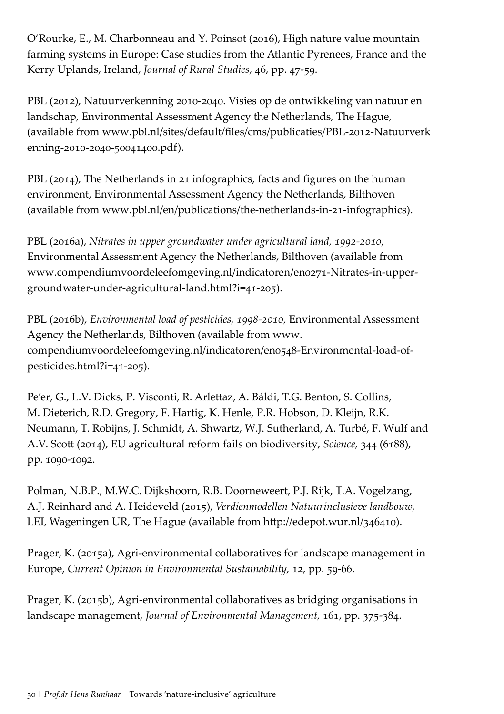[O'Rourke,](https://www-scopus-com.proxy.library.uu.nl/authid/detail.uri?origin=resultslist&authorId=7005435351&zone=) E., M. [Charbonneau](https://www-scopus-com.proxy.library.uu.nl/authid/detail.uri?origin=resultslist&authorId=55187899500&zone=) and Y. [Poinsot](https://www-scopus-com.proxy.library.uu.nl/authid/detail.uri?origin=resultslist&authorId=6506194190&zone=) (2016), High nature value [mountain](https://www-scopus-com.proxy.library.uu.nl/record/display.uri?eid=2-s2.0-84971420443&origin=resultslist&sort=plf-f&src=s&st1=intensification+agriculture+drivers&st2=&sid=525255530C129A8D48741D1B92164A3A.I0QkgbIjGqqLQ4Nw7dqZ4A%3a140&sot=b&sdt=b&sl=50&s=TITLE-ABS-KEY%28intensification+agriculture+drivers%29&relpos=0&citeCnt=0&searchTerm=) farming systems in Europe: Case studies from the Atlantic [Pyrenees,](https://www-scopus-com.proxy.library.uu.nl/record/display.uri?eid=2-s2.0-84971420443&origin=resultslist&sort=plf-f&src=s&st1=intensification+agriculture+drivers&st2=&sid=525255530C129A8D48741D1B92164A3A.I0QkgbIjGqqLQ4Nw7dqZ4A%3a140&sot=b&sdt=b&sl=50&s=TITLE-ABS-KEY%28intensification+agriculture+drivers%29&relpos=0&citeCnt=0&searchTerm=) France and the Kerry [Uplands,](https://www-scopus-com.proxy.library.uu.nl/record/display.uri?eid=2-s2.0-84971420443&origin=resultslist&sort=plf-f&src=s&st1=intensification+agriculture+drivers&st2=&sid=525255530C129A8D48741D1B92164A3A.I0QkgbIjGqqLQ4Nw7dqZ4A%3a140&sot=b&sdt=b&sl=50&s=TITLE-ABS-KEY%28intensification+agriculture+drivers%29&relpos=0&citeCnt=0&searchTerm=) Ireland, *Journal of Rural [Studies,](https://www-scopus-com.proxy.library.uu.nl/source/sourceInfo.uri?sourceId=15673&origin=resultslist)* 46, pp. 47-59.

PBL (2012), Natuurverkenning 2010-2040. Visies op de ontwikkeling van natuur en landschap, Environmental Assessment Agency the Netherlands, The Hague, (available from [www.pbl.nl/sites/default/files/cms/publicaties/PBL-2012-Natuurverk](http://www.pbl.nl/sites/default/files/cms/publicaties/PBL-2012-Natuurverkenning-2010-2040-50041400.pdf) [enning-2010-2040-50041400.pdf](http://www.pbl.nl/sites/default/files/cms/publicaties/PBL-2012-Natuurverkenning-2010-2040-50041400.pdf)).

PBL (2014), The Netherlands in 21 infographics, facts and figures on the human environment, Environmental Assessment Agency the Netherlands, Bilthoven (available from [www.pbl.nl/en/publications/the-netherlands-in-21-infographics\)](http://www.pbl.nl/en/publications/the-netherlands-in-21-infographics).

PBL (2016a), *Nitrates in upper groundwater under agricultural land, 1992-2010,* Environmental Assessment Agency the Netherlands, Bilthoven (available from [www.compendiumvoordeleefomgeving.nl/indicatoren/en0271-Nitrates-in-upper](http://www.compendiumvoordeleefomgeving.nl/indicatoren/en0271-Nitrates-in-upper-groundwater-under-agricultural-land.html?i=41-205)[groundwater-under-agricultural-land.html?i=41-205](http://www.compendiumvoordeleefomgeving.nl/indicatoren/en0271-Nitrates-in-upper-groundwater-under-agricultural-land.html?i=41-205)).

PBL (2016b), *Environmental load of pesticides, 1998-2010,* Environmental Assessment Agency the Netherlands, Bilthoven (available from [www.](http://www.compendiumvoordeleefomgeving.nl/indicatoren/en0548-Environmental-load-of-pesticides.html?i=41-205) [compendiumvoordeleefomgeving.nl/indicatoren/en0548-Environmental-load-of](http://www.compendiumvoordeleefomgeving.nl/indicatoren/en0548-Environmental-load-of-pesticides.html?i=41-205)[pesticides.html?i=41-205\)](http://www.compendiumvoordeleefomgeving.nl/indicatoren/en0548-Environmental-load-of-pesticides.html?i=41-205).

[Pe'er,](http://www.scopus.com/authid/detail.uri?origin=AuthorProfile&authorId=6506482005&zone=) G., L.V. [Dicks,](http://www.scopus.com/authid/detail.uri?origin=AuthorProfile&authorId=8230738500&zone=) P. [Visconti,](http://www.scopus.com/authid/detail.uri?origin=AuthorProfile&authorId=56193466000&zone=) R. [Arlettaz,](https://www-scopus-com.proxy.library.uu.nl/authid/detail.uri?authorId=7004129135&eid=2-s2.0-84901847885) A. [Báldi,](https://www-scopus-com.proxy.library.uu.nl/authid/detail.uri?authorId=56193941700&eid=2-s2.0-84901847885) T.G. [Benton,](https://www-scopus-com.proxy.library.uu.nl/authid/detail.uri?authorId=7004199432&eid=2-s2.0-84901847885) S. [Collins,](https://www-scopus-com.proxy.library.uu.nl/authid/detail.uri?authorId=56193507000&eid=2-s2.0-84901847885) [M.](https://www-scopus-com.proxy.library.uu.nl/authid/detail.uri?authorId=56193507000&eid=2-s2.0-84901847885) [Dieterich,](https://www-scopus-com.proxy.library.uu.nl/authid/detail.uri?authorId=7005389101&eid=2-s2.0-84901847885) R.D. [Gregory,](https://www-scopus-com.proxy.library.uu.nl/authid/detail.uri?authorId=7402332144&eid=2-s2.0-84901847885) F. [Hartig,](https://www-scopus-com.proxy.library.uu.nl/authid/detail.uri?authorId=24773326300&eid=2-s2.0-84901847885) K. [Henle,](https://www-scopus-com.proxy.library.uu.nl/authid/detail.uri?authorId=7005254240&eid=2-s2.0-84901847885) P.R. [Hobson,](https://www-scopus-com.proxy.library.uu.nl/authid/detail.uri?authorId=56194080800&eid=2-s2.0-84901847885) D. [Kleijn,](https://www-scopus-com.proxy.library.uu.nl/authid/detail.uri?authorId=6603715814&eid=2-s2.0-84901847885) R.K. [Neumann,](https://www-scopus-com.proxy.library.uu.nl/authid/detail.uri?authorId=56193887100&eid=2-s2.0-84901847885) T. [Robijns,](https://www-scopus-com.proxy.library.uu.nl/authid/detail.uri?authorId=54392106100&eid=2-s2.0-84901847885) J. [Schmidt,](https://www-scopus-com.proxy.library.uu.nl/authid/detail.uri?authorId=56193520000&eid=2-s2.0-84901847885) A. [Shwartz,](https://www-scopus-com.proxy.library.uu.nl/authid/detail.uri?authorId=23486910100&eid=2-s2.0-84901847885) W.J. [Sutherland,](https://www-scopus-com.proxy.library.uu.nl/authid/detail.uri?authorId=56804497000&eid=2-s2.0-84901847885) A. [Turbé](https://www-scopus-com.proxy.library.uu.nl/authid/detail.uri?authorId=38863149500&eid=2-s2.0-84901847885), F. [Wulf](http://www.scopus.com/authid/detail.uri?origin=AuthorProfile&authorId=56193978200&zone=) and [A.V.](http://www.scopus.com/authid/detail.uri?origin=AuthorProfile&authorId=56193978200&zone=) [Scott](http://www.scopus.com/authid/detail.uri?origin=AuthorProfile&authorId=56193618400&zone=) (2014), EU agricultural reform fails on [biodiversity,](http://www.scopus.com/record/display.uri?eid=2-s2.0-84901847885&origin=resultslist&sort=plf-f&src=s&sid=FD16A432DEE084543855833551AAB9FF.aqHV0EoE4xlIF3hgVWgA%3a750&sot=autdocs&sdt=autdocs&sl=17&s=AU-ID%286506482005%29&relpos=6&citeCnt=54&searchTerm=) *[Science](http://www.scopus.com/source/sourceInfo.uri?sourceId=23571&origin=resultslist),* 344 (6188), pp. 1090-1092.

Polman, N.B.P., M.W.C. Dijkshoorn, R.B. Doorneweert, P.J. Rijk, T.A. Vogelzang, A.J. Reinhard and A. Heideveld (2015), *Verdienmodellen Natuurinclusieve landbouw,* LEI, Wageningen UR, The Hague (available from [http://edepot.wur.nl/346410\)](http://edepot.wur.nl/346410).

[Prager,](https://www-scopus-com.proxy.library.uu.nl/authid/detail.uri?origin=resultslist&authorId=7004174470&zone=) K. (2015a), [Agri-environmental](https://www-scopus-com.proxy.library.uu.nl/record/display.uri?eid=2-s2.0-84908565441&origin=resultslist&sort=plf-f&src=s&st1=agri-environmental+collaboratives&st2=&sid=D42AD67CF48519835F027E8E979B536B.I0QkgbIjGqqLQ4Nw7dqZ4A%3a320&sot=b&sdt=b&sl=48&s=TITLE-ABS-KEY%28agri-environmental+collaboratives%29&relpos=1&citeCnt=7&searchTerm=) collaboratives for landscape management in [Europe,](https://www-scopus-com.proxy.library.uu.nl/record/display.uri?eid=2-s2.0-84908565441&origin=resultslist&sort=plf-f&src=s&st1=agri-environmental+collaboratives&st2=&sid=D42AD67CF48519835F027E8E979B536B.I0QkgbIjGqqLQ4Nw7dqZ4A%3a320&sot=b&sdt=b&sl=48&s=TITLE-ABS-KEY%28agri-environmental+collaboratives%29&relpos=1&citeCnt=7&searchTerm=) *Current Opinion in [Environmental](https://www-scopus-com.proxy.library.uu.nl/source/sourceInfo.uri?sourceId=19400158343&origin=resultslist) Sustainability,* 12, pp. 59-66.

Prager, K. (2015b), Agri-environmental collaboratives as bridging organisations in landscape management, *Journal of Environmental Management,* 161, pp. 375-384.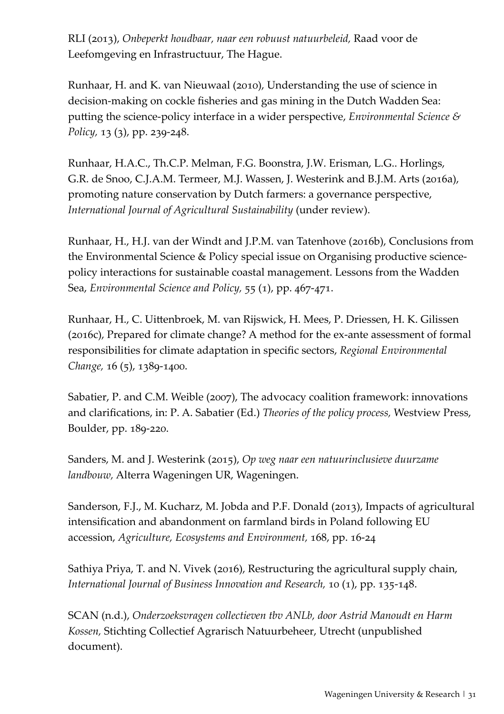RLI (2013), *Onbeperkt houdbaar, naar een robuust natuurbeleid,* Raad voor de Leefomgeving en Infrastructuur, The Hague.

Runhaar, H. and K. van Nieuwaal (2010), [Understanding](http://www.uu.nl/content/RunhaarandVanNieuwaal2010.pdf) the use of science in [decision-making](http://www.uu.nl/content/RunhaarandVanNieuwaal2010.pdf) on cockle fisheries and gas mining in the Dutch Wadden Sea: putting the [science-policy](http://www.uu.nl/content/RunhaarandVanNieuwaal2010.pdf) interface in a wider perspective, *Environmental Science & Policy,* 13 (3), pp. 239-248.

Runhaar, H.A.C., Th.C.P. Melman, F.G. Boonstra, J.W. Erisman, L.G.. Horlings, G.R. de Snoo, C.J.A.M. Termeer, M.J. Wassen, J. Westerink and B.J.M. Arts (2016a), promoting nature conservation by Dutch farmers: a governance perspective, *International Journal of Agricultural Sustainability* (under review).

Runhaar, H., H.J. van der Windt and J.P.M. van Tatenhove (2016b), Conclusions from the Environmental Science & Policy special issue on Organising productive sciencepolicy interactions for sustainable coastal management. Lessons from the Wadden Sea, *Environmental Science and Policy,* 55 (1), pp. 467-471.

Runhaar, H., C. Uittenbroek, M. van Rijswick, H. Mees, P. Driessen, H. K. Gilissen (2016c), Prepared for climate change? A method for the ex-ante assessment of formal responsibilities for climate adaptation in specific sectors, *Regional Environmental Change,* 16 (5), 1389-1400.

Sabatier, P. and C.M. Weible (2007), The advocacy coalition framework: innovations and clarifications, in: P. A. Sabatier (Ed.) *Theories of the policy process,* Westview Press, Boulder, pp. 189-220.

Sanders, M. and J. Westerink (2015), *Op weg naar een natuurinclusieve duurzame landbouw,* Alterra Wageningen UR, Wageningen.

[Sanderson,](http://www-scopus-com.proxy.library.uu.nl/authid/detail.url?origin=AuthorProfile&authorId=14024720200&zone=) F.J., M. [Kucharz,](http://www-scopus-com.proxy.library.uu.nl/authid/detail.url?origin=AuthorProfile&authorId=55633582900&zone=) M. [Jobda](http://www-scopus-com.proxy.library.uu.nl/authid/detail.url?origin=AuthorProfile&authorId=55634161900&zone=) and P.F. [Donald](http://www-scopus-com.proxy.library.uu.nl/authid/detail.url?origin=AuthorProfile&authorId=12243573400&zone=) (2013), Impacts of [agricultural](http://www-scopus-com.proxy.library.uu.nl/record/display.url?eid=2-s2.0-84875494054&origin=resultslist&sort=plf-f&src=s&sid=52BBF0441BEB4C9FE0360E95234656D9.fM4vPBipdL1BpirDq5Cw%3a640&sot=autdocs&sdt=autdocs&sl=18&s=AU-ID%2812243573400%29&relpos=4&relpos=4&citeCnt=14&searchTerm=) [intensification](http://www-scopus-com.proxy.library.uu.nl/record/display.url?eid=2-s2.0-84875494054&origin=resultslist&sort=plf-f&src=s&sid=52BBF0441BEB4C9FE0360E95234656D9.fM4vPBipdL1BpirDq5Cw%3a640&sot=autdocs&sdt=autdocs&sl=18&s=AU-ID%2812243573400%29&relpos=4&relpos=4&citeCnt=14&searchTerm=) and abandonment on farmland birds in Poland following EU [accession,](http://www-scopus-com.proxy.library.uu.nl/record/display.url?eid=2-s2.0-84875494054&origin=resultslist&sort=plf-f&src=s&sid=52BBF0441BEB4C9FE0360E95234656D9.fM4vPBipdL1BpirDq5Cw%3a640&sot=autdocs&sdt=autdocs&sl=18&s=AU-ID%2812243573400%29&relpos=4&relpos=4&citeCnt=14&searchTerm=) *Agriculture, Ecosystems and [Environment](http://www-scopus-com.proxy.library.uu.nl/source/sourceInfo.url?sourceId=15110&origin=resultslist),* 168, pp. 16-24

[Sathiya](https://www-scopus-com.proxy.library.uu.nl/authid/detail.uri?origin=resultslist&authorId=55805955900&zone=) Priya, T. and N. [Vivek](https://www-scopus-com.proxy.library.uu.nl/authid/detail.uri?origin=resultslist&authorId=16029796300&zone=) (2016), [Restructuring](https://www-scopus-com.proxy.library.uu.nl/record/display.uri?eid=2-s2.0-84948663106&origin=resultslist&sort=plf-f&src=s&st1=barriers+sustainable+agriculture&nlo=&nlr=&nls=&sid=ED6E51C0AD7EBB6D61EC2FC39A31367E.WlW7NKKC52nnQNxjqAQrlA%3a200&sot=b&sdt=b&sl=47&s=TITLE-ABS-KEY%28barriers+sustainable+agriculture%29&relpos=18&citeCnt=0&searchTerm=) the agricultural supply chain, *[International](https://www-scopus-com.proxy.library.uu.nl/source/sourceInfo.uri?sourceId=11200153572&origin=resultslist) Journal of Business Innovation and Research,* 10 (1), pp. 135-148.

SCAN (n.d.), *Onderzoeksvragen collectieven tbv ANLb, door Astrid Manoudt en Harm Kossen,* Stichting Collectief Agrarisch Natuurbeheer, Utrecht (unpublished document).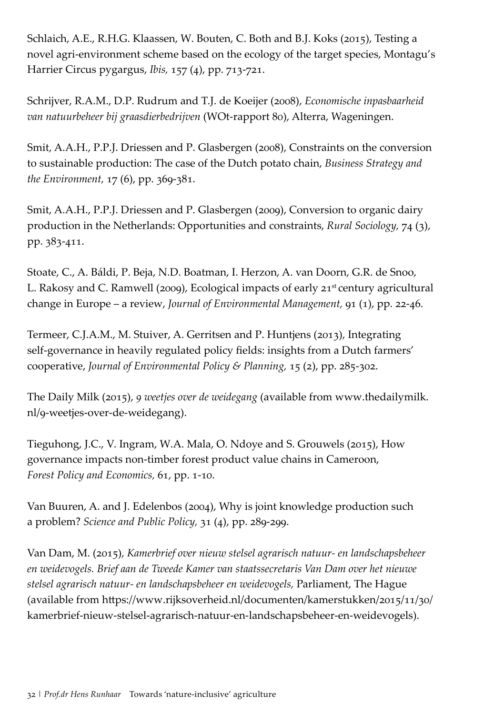[Schlaich,](https://www-scopus-com.proxy.library.uu.nl/authid/detail.uri?origin=AuthorProfile&authorId=56306214600&zone=) A.E., R.H.G. [Klaassen,](https://www-scopus-com.proxy.library.uu.nl/authid/detail.uri?origin=AuthorProfile&authorId=12789258600&zone=) W. [Bouten,](https://www-scopus-com.proxy.library.uu.nl/authid/detail.uri?origin=AuthorProfile&authorId=7003713313&zone=) C. [Both](https://www-scopus-com.proxy.library.uu.nl/authid/detail.uri?origin=AuthorProfile&authorId=7004266414&zone=) and B.J. [Koks](https://www-scopus-com.proxy.library.uu.nl/authid/detail.uri?origin=AuthorProfile&authorId=7801348026&zone=) (2015), [Testing](https://www-scopus-com.proxy.library.uu.nl/record/display.uri?eid=2-s2.0-84941036249&origin=resultslist&sort=plf-f&src=s&sid=525255530C129A8D48741D1B92164A3A.I0QkgbIjGqqLQ4Nw7dqZ4A%3a600&sot=autdocs&sdt=autdocs&sl=18&s=AU-ID%2812789258600%29&relpos=3&citeCnt=0&searchTerm=) a novel [agri-environment](https://www-scopus-com.proxy.library.uu.nl/record/display.uri?eid=2-s2.0-84941036249&origin=resultslist&sort=plf-f&src=s&sid=525255530C129A8D48741D1B92164A3A.I0QkgbIjGqqLQ4Nw7dqZ4A%3a600&sot=autdocs&sdt=autdocs&sl=18&s=AU-ID%2812789258600%29&relpos=3&citeCnt=0&searchTerm=) scheme based on the ecology of the target species, Montagu's Harrier Circus [pygargus](https://www-scopus-com.proxy.library.uu.nl/record/display.uri?eid=2-s2.0-84941036249&origin=resultslist&sort=plf-f&src=s&sid=525255530C129A8D48741D1B92164A3A.I0QkgbIjGqqLQ4Nw7dqZ4A%3a600&sot=autdocs&sdt=autdocs&sl=18&s=AU-ID%2812789258600%29&relpos=3&citeCnt=0&searchTerm=), *[Ibis,](https://www-scopus-com.proxy.library.uu.nl/source/sourceInfo.uri?sourceId=22021&origin=resultslist)* 157 (4), pp. 713-721.

Schrijver, R.A.M., D.P. Rudrum and T.J. de Koeijer (2008), *Economische inpasbaarheid van natuurbeheer bij graasdierbedrijven* (WOt-rapport 80), Alterra, Wageningen.

Smit, [A.A.H.](https://www-scopus-com.proxy.library.uu.nl/authid/detail.uri?origin=AuthorProfile&authorId=16522167000&zone=), P.P.J. [Driessen](https://www-scopus-com.proxy.library.uu.nl/authid/detail.uri?origin=AuthorProfile&authorId=7006761167&zone=) and P. [Glasbergen](https://www-scopus-com.proxy.library.uu.nl/authid/detail.uri?origin=AuthorProfile&authorId=6701543948&zone=) (2008), [Constraints](https://www-scopus-com.proxy.library.uu.nl/record/display.uri?eid=2-s2.0-57749177068&origin=resultslist&sort=plf-f&src=s&sid=ED6E51C0AD7EBB6D61EC2FC39A31367E.WlW7NKKC52nnQNxjqAQrlA%3a440&sot=autdocs&sdt=autdocs&sl=18&s=AU-ID%2816522167000%29&relpos=0&citeCnt=6&searchTerm=) on the conversion to sustainable [production:](https://www-scopus-com.proxy.library.uu.nl/record/display.uri?eid=2-s2.0-57749177068&origin=resultslist&sort=plf-f&src=s&sid=ED6E51C0AD7EBB6D61EC2FC39A31367E.WlW7NKKC52nnQNxjqAQrlA%3a440&sot=autdocs&sdt=autdocs&sl=18&s=AU-ID%2816522167000%29&relpos=0&citeCnt=6&searchTerm=) The case of the Dutch potato chain, *[Business](https://www-scopus-com.proxy.library.uu.nl/source/sourceInfo.uri?sourceId=23406&origin=resultslist) Strategy and the [Environment](https://www-scopus-com.proxy.library.uu.nl/source/sourceInfo.uri?sourceId=23406&origin=resultslist),* 17 (6), pp. 369-381.

Smit, [A.A.H.](https://www-scopus-com.proxy.library.uu.nl/authid/detail.uri?origin=AuthorProfile&authorId=16522167000&zone=), P.P.J. [Driessen](https://www-scopus-com.proxy.library.uu.nl/authid/detail.uri?origin=AuthorProfile&authorId=7006761167&zone=) and P. [Glasbergen](https://www-scopus-com.proxy.library.uu.nl/authid/detail.uri?origin=AuthorProfile&authorId=6701543948&zone=) (2009), [Conversion](https://www-scopus-com.proxy.library.uu.nl/record/display.uri?eid=2-s2.0-70349625026&origin=resultslist&sort=plf-f&src=s&st1=barriers+interests+sustainable+agriculture&st2=&sid=AC16CDF5728CCF46A7A02766AD84E9C6.iqs8TDG0Wy6BURhzD3nFA%3a200&sot=b&sdt=b&sl=57&s=TITLE-ABS-KEY%28barriers+interests+sustainable+agriculture%29&relpos=16&citeCnt=10&searchTerm=) to organic dairy production in the Netherlands: [Opportunities](https://www-scopus-com.proxy.library.uu.nl/record/display.uri?eid=2-s2.0-70349625026&origin=resultslist&sort=plf-f&src=s&st1=barriers+interests+sustainable+agriculture&st2=&sid=AC16CDF5728CCF46A7A02766AD84E9C6.iqs8TDG0Wy6BURhzD3nFA%3a200&sot=b&sdt=b&sl=57&s=TITLE-ABS-KEY%28barriers+interests+sustainable+agriculture%29&relpos=16&citeCnt=10&searchTerm=) and constraints, *Rural [Sociology](https://www-scopus-com.proxy.library.uu.nl/source/sourceInfo.uri?sourceId=17389&origin=resultslist),* 74 (3), pp. 383-411.

Stoate, C., A. Báldi, P. Beja, N.D. Boatman, I. Herzon, A. van Doorn, G.R. de Snoo, L. Rakosy and C. Ramwell (2009), Ecological impacts of early 21<sup>st</sup> century agricultural change in Europe – a review, *Journal of Environmental Management,* 91 (1), pp. 22-46.

Termeer, C.J.A.M., M. Stuiver, A. Gerritsen and P. Huntjens (2013), Integrating self-governance in heavily regulated policy fields: insights from a Dutch farmers' cooperative, *Journal of Environmental Policy & Planning,* 15 (2), pp. 285-302.

The Daily Milk (2015), *9 weetjes over de weidegang* (available from [www.thedailymilk.](http://www.thedailymilk.nl/9-weetjes-over-de-weidegang) [nl/9-weetjes-over-de-weidegang](http://www.thedailymilk.nl/9-weetjes-over-de-weidegang)).

[Tieguhong,](https://www-scopus-com.proxy.library.uu.nl/authid/detail.uri?origin=AuthorProfile&authorId=6505658306&zone=) J.C., V. [Ingram,](https://www-scopus-com.proxy.library.uu.nl/authid/detail.uri?origin=AuthorProfile&authorId=35310406000&zone=) W.A. [Mala,](https://www-scopus-com.proxy.library.uu.nl/authid/detail.uri?origin=AuthorProfile&authorId=8608326800&zone=) O. [Ndoye](https://www-scopus-com.proxy.library.uu.nl/authid/detail.uri?origin=AuthorProfile&authorId=6603478020&zone=) and S. [Grouwels](https://www-scopus-com.proxy.library.uu.nl/authid/detail.uri?origin=AuthorProfile&authorId=36054446400&zone=) (2015), [How](https://www-scopus-com.proxy.library.uu.nl/record/display.uri?eid=2-s2.0-84945450557&origin=resultslist&sort=plf-f&src=s&sid=9A308AA38F3209679F089F940AC0C0FE.WeLimyRvBMk2ky9SFKc8Q%3a960&sot=autdocs&sdt=autdocs&sl=18&s=AU-ID%2835310406000%29&relpos=2&citeCnt=2&searchTerm=) [governance](https://www-scopus-com.proxy.library.uu.nl/record/display.uri?eid=2-s2.0-84945450557&origin=resultslist&sort=plf-f&src=s&sid=9A308AA38F3209679F089F940AC0C0FE.WeLimyRvBMk2ky9SFKc8Q%3a960&sot=autdocs&sdt=autdocs&sl=18&s=AU-ID%2835310406000%29&relpos=2&citeCnt=2&searchTerm=) impacts non-timber forest product value chains in Cameroon, *Forest Policy and [Economics,](https://www-scopus-com.proxy.library.uu.nl/source/sourceInfo.uri?sourceId=22223&origin=resultslist)* 61, pp. 1-10.

Van [Buuren,](https://www-scopus-com.proxy.library.uu.nl/authid/detail.uri?origin=AuthorProfile&authorId=9735392200&zone=) A. and J. [Edelenbos](https://www-scopus-com.proxy.library.uu.nl/authid/detail.uri?origin=AuthorProfile&authorId=6603168579&zone=) (2004), Why is joint knowledge [production](https://www-scopus-com.proxy.library.uu.nl/record/display.uri?eid=2-s2.0-4844220183&origin=resultslist&sort=plf-f&src=s&sid=456086108A3B51A98EDD1D164E441EE4.kqQeWtawXauCyC8ghhRGJg%3a1200&sot=autdocs&sdt=autdocs&sl=17&s=AU-ID%289735392200%29&relpos=53&citeCnt=64&searchTerm=) such [a problem?](https://www-scopus-com.proxy.library.uu.nl/record/display.uri?eid=2-s2.0-4844220183&origin=resultslist&sort=plf-f&src=s&sid=456086108A3B51A98EDD1D164E441EE4.kqQeWtawXauCyC8ghhRGJg%3a1200&sot=autdocs&sdt=autdocs&sl=17&s=AU-ID%289735392200%29&relpos=53&citeCnt=64&searchTerm=) *[Science](https://www-scopus-com.proxy.library.uu.nl/source/sourceInfo.uri?sourceId=20960&origin=resultslist) and Public Policy,* 31 (4), pp. 289-299.

Van Dam, M. (2015), *Kamerbrief over nieuw stelsel agrarisch natuur- en landschapsbeheer en weidevogels. Brief aan de Tweede Kamer van staatssecretaris Van Dam over het nieuwe stelsel agrarisch natuur- en landschapsbeheer en weidevogels,* Parliament, The Hague (available from [https://www.rijksoverheid.nl/documenten/kamerstukken/2015/11/30/](https://www.rijksoverheid.nl/documenten/kamerstukken/2015/11/30/kamerbrief-nieuw-stelsel-agrarisch-natuur-en-landschapsbeheer-en-weidevogels) [kamerbrief-nieuw-stelsel-agrarisch-natuur-en-landschapsbeheer-en-weidevogels](https://www.rijksoverheid.nl/documenten/kamerstukken/2015/11/30/kamerbrief-nieuw-stelsel-agrarisch-natuur-en-landschapsbeheer-en-weidevogels)).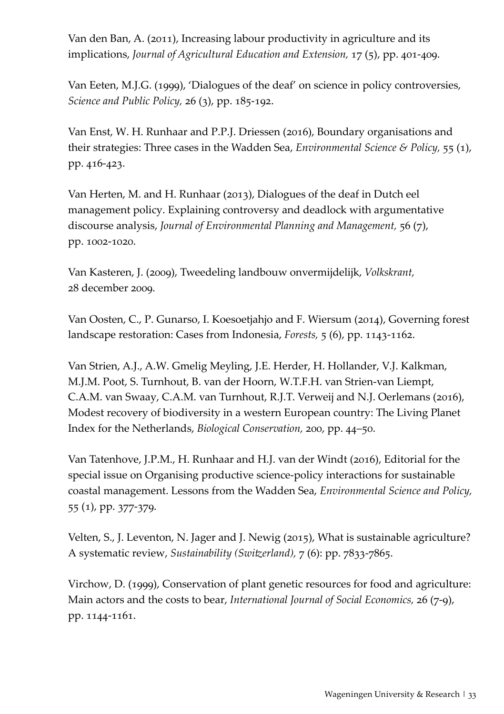Van den [Ban,](https://www-scopus-com.proxy.library.uu.nl/authid/detail.uri?origin=resultslist&authorId=36973949100&zone=) A. (2011), Increasing labour [productivity](https://www-scopus-com.proxy.library.uu.nl/record/display.uri?eid=2-s2.0-80053268720&origin=resultslist&sort=plf-f&src=s&st1=Productivity+increase+in+Dutch+agriculture+&st2=&sid=7D2A78893EEB9A2880F92BAE43258E0B.WlW7NKKC52nnQNxjqAQrlA%3a20&sot=b&sdt=b&sl=58&s=TITLE-ABS-KEY%28Productivity+increase+in+Dutch+agriculture+%29&relpos=2&citeCnt=3&searchTerm=) in agriculture and its [implications,](https://www-scopus-com.proxy.library.uu.nl/record/display.uri?eid=2-s2.0-80053268720&origin=resultslist&sort=plf-f&src=s&st1=Productivity+increase+in+Dutch+agriculture+&st2=&sid=7D2A78893EEB9A2880F92BAE43258E0B.WlW7NKKC52nnQNxjqAQrlA%3a20&sot=b&sdt=b&sl=58&s=TITLE-ABS-KEY%28Productivity+increase+in+Dutch+agriculture+%29&relpos=2&citeCnt=3&searchTerm=) *Journal of [Agricultural](https://www-scopus-com.proxy.library.uu.nl/source/sourceInfo.uri?sourceId=19700188305&origin=resultslist) Education and Extension,* 17 (5), pp. 401-409.

Van Eeten, [M.J.G.](https://www-scopus-com.proxy.library.uu.nl/authid/detail.uri?origin=AuthorProfile&authorId=6603185658&zone=) (1999), 'Dialogues of the deaf' on science in policy [controversies,](https://www-scopus-com.proxy.library.uu.nl/record/display.uri?eid=2-s2.0-0032866571&origin=resultslist&sort=plf-f&src=s&sid=0CAB9906CEB4A056264F265D6354B3B8.WlW7NKKC52nnQNxjqAQrlA%3a760&sot=autdocs&sdt=autdocs&sl=17&s=AU-ID%286603185658%29&relpos=34&citeCnt=17&searchTerm=) *[Science](https://www-scopus-com.proxy.library.uu.nl/source/sourceInfo.uri?sourceId=20960&origin=resultslist) and Public Policy,* 26 (3), pp. 185-192.

Van Enst, W. H. Runhaar and P.P.J. Driessen (2016), Boundary organisations and their strategies: Three cases in the Wadden Sea, *Environmental Science & Policy,* 55 (1), pp. 416-423.

Van Herten, M. and H. Runhaar (2013), Dialogues of the deaf in Dutch eel management policy. Explaining controversy and deadlock with argumentative discourse analysis, *Journal of Environmental Planning and Management,* 56 (7), pp. 1002-1020.

Van Kasteren, J. (2009), Tweedeling landbouw onvermijdelijk, *Volkskrant,* 28 december 2009.

Van [Oosten,](https://www-scopus-com.proxy.library.uu.nl/authid/detail.uri?origin=AuthorProfile&authorId=55745802300&zone=) C., P. [Gunarso,](https://www-scopus-com.proxy.library.uu.nl/authid/detail.uri?origin=AuthorProfile&authorId=23987049400&zone=) I. [Koesoetjahjo](https://www-scopus-com.proxy.library.uu.nl/authid/detail.uri?origin=AuthorProfile&authorId=56205635600&zone=) and F. [Wiersum](https://www-scopus-com.proxy.library.uu.nl/authid/detail.uri?origin=AuthorProfile&authorId=6701663101&zone=) (2014), [Governing](https://www-scopus-com.proxy.library.uu.nl/record/display.uri?eid=2-s2.0-84902517025&origin=resultslist&sort=plf-f&src=s&sid=9A308AA38F3209679F089F940AC0C0FE.WeLimyRvBMk2ky9SFKc8Q%3a1160&sot=autdocs&sdt=autdocs&sl=18&s=AU-ID%2855745802300%29&relpos=0&citeCnt=3&searchTerm=) forest landscape [restoration:](https://www-scopus-com.proxy.library.uu.nl/record/display.uri?eid=2-s2.0-84902517025&origin=resultslist&sort=plf-f&src=s&sid=9A308AA38F3209679F089F940AC0C0FE.WeLimyRvBMk2ky9SFKc8Q%3a1160&sot=autdocs&sdt=autdocs&sl=18&s=AU-ID%2855745802300%29&relpos=0&citeCnt=3&searchTerm=) Cases from Indonesia, *[Forests](https://www-scopus-com.proxy.library.uu.nl/source/sourceInfo.uri?sourceId=21100219934&origin=resultslist),* 5 (6), pp. 1143-1162.

Van Strien, A.J., A.W. Gmelig Meyling, J.E. Herder, H. Hollander, V.J. Kalkman, M.J.M. Poot, S. Turnhout, B. van der Hoorn, W.T.F.H. van Strien-van Liempt, C.A.M. van Swaay, C.A.M. van Turnhout, R.J.T. Verweij and N.J. Oerlemans (2016), Modest recovery of biodiversity in a western European country: The Living Planet Index for the Netherlands, *Biological Conservation,* 200, pp. 44–50.

Van Tatenhove, J.P.M., H. Runhaar and H.J. van der Windt (2016), Editorial for the special issue on Organising productive science-policy interactions for sustainable coastal management. Lessons from the Wadden Sea, *Environmental Science and Policy,* 55 (1), pp. 377-379.

[Velten,](https://www-scopus-com.proxy.library.uu.nl/authid/detail.uri?origin=resultslist&authorId=36135056100&zone=) S., J. [Leventon,](https://www-scopus-com.proxy.library.uu.nl/authid/detail.uri?origin=resultslist&authorId=55340402300&zone=) N. [Jager](https://www-scopus-com.proxy.library.uu.nl/authid/detail.uri?origin=resultslist&authorId=56340596700&zone=) and J. [Newig](https://www-scopus-com.proxy.library.uu.nl/authid/detail.uri?origin=resultslist&authorId=56026969500&zone=) (2015), What is sustainable [agriculture?](https://www-scopus-com.proxy.library.uu.nl/record/display.uri?eid=2-s2.0-84934268555&origin=resultslist&sort=plf-f&src=s&st1=%22sustainable+agriculture%22+governance&st2=&sid=3340D84E24067B0975F06E26E06CFE1D.Vdktg6RVtMfaQJ4pNTCQ%3a470&sot=b&sdt=b&sl=51&s=TITLE-ABS-KEY%28%22sustainable+agriculture%22+governance%29&relpos=6&citeCnt=1&searchTerm=) A [systematic](https://www-scopus-com.proxy.library.uu.nl/record/display.uri?eid=2-s2.0-84934268555&origin=resultslist&sort=plf-f&src=s&st1=%22sustainable+agriculture%22+governance&st2=&sid=3340D84E24067B0975F06E26E06CFE1D.Vdktg6RVtMfaQJ4pNTCQ%3a470&sot=b&sdt=b&sl=51&s=TITLE-ABS-KEY%28%22sustainable+agriculture%22+governance%29&relpos=6&citeCnt=1&searchTerm=) review, *[Sustainability](https://www-scopus-com.proxy.library.uu.nl/source/sourceInfo.uri?sourceId=21100240100&origin=resultslist) (Switzerland),* 7 (6): pp. 7833-7865.

[Virchow,](https://www-scopus-com.proxy.library.uu.nl/authid/detail.uri?origin=resultslist&authorId=8083385000&zone=) D. (1999), [Conservation](https://www-scopus-com.proxy.library.uu.nl/record/display.uri?eid=2-s2.0-0004589940&origin=resultslist&sort=plf-f&src=s&st1=sustainable+agriculture+winners+losers&st2=&sid=AC16CDF5728CCF46A7A02766AD84E9C6.iqs8TDG0Wy6BURhzD3nFA%3a560&sot=b&sdt=b&sl=53&s=TITLE-ABS-KEY%28sustainable+agriculture+winners+losers%29&relpos=4&citeCnt=6&searchTerm=) of plant genetic resources for food and agriculture: Main [actors](https://www-scopus-com.proxy.library.uu.nl/record/display.uri?eid=2-s2.0-0004589940&origin=resultslist&sort=plf-f&src=s&st1=sustainable+agriculture+winners+losers&st2=&sid=AC16CDF5728CCF46A7A02766AD84E9C6.iqs8TDG0Wy6BURhzD3nFA%3a560&sot=b&sdt=b&sl=53&s=TITLE-ABS-KEY%28sustainable+agriculture+winners+losers%29&relpos=4&citeCnt=6&searchTerm=) and the costs to bear, *[International](https://www-scopus-com.proxy.library.uu.nl/source/sourceInfo.uri?sourceId=23717&origin=resultslist) Journal of Social Economics,* 26 (7-9), pp. 1144-1161.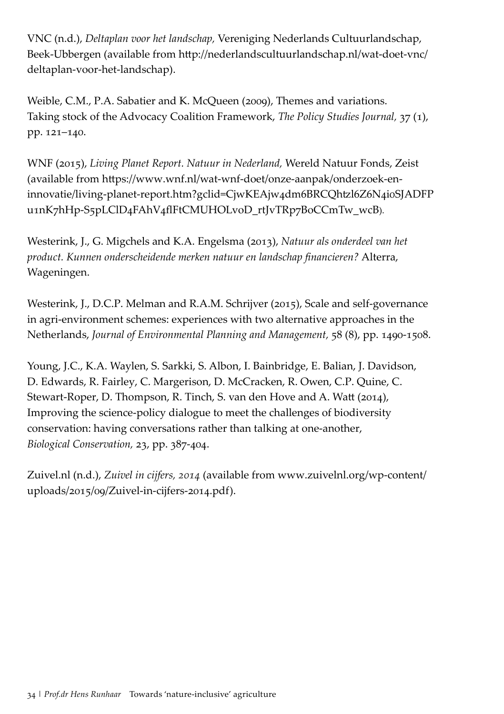VNC (n.d.), *Deltaplan voor het landschap,* Vereniging Nederlands Cultuurlandschap, Beek-Ubbergen (available from [http://nederlandscultuurlandschap.nl/wat-doet-vnc/](http://nederlandscultuurlandschap.nl/wat-doet-vnc/deltaplan-voor-het-landschap) [deltaplan-voor-het-landschap](http://nederlandscultuurlandschap.nl/wat-doet-vnc/deltaplan-voor-het-landschap)).

Weible, C.M., P.A. Sabatier and K. McQueen (2009), Themes and variations. Taking stock of the Advocacy Coalition Framework, *The Policy Studies Journal,* 37 (1), pp. 121–140.

WNF (2015), *Living Planet Report. Natuur in Nederland,* Wereld Natuur Fonds, Zeist (available from [https://www.wnf.nl/wat-wnf-doet/onze-aanpak/onderzoek-en](https://www.wnf.nl/wat-wnf-doet/onze-aanpak/onderzoek-en-innovatie/living-planet-report.htm?gclid=CjwKEAjw4dm6BRCQhtzl6Z6N4i0SJADFPu1nK7hHp-S5pLClD4FAhV4flFtCMUHOLvoD_rtJvTRp7BoCCmTw_wcB)[innovatie/living-planet-report.htm?gclid=CjwKEAjw4dm6BRCQhtzl6Z6N4i0SJADFP](https://www.wnf.nl/wat-wnf-doet/onze-aanpak/onderzoek-en-innovatie/living-planet-report.htm?gclid=CjwKEAjw4dm6BRCQhtzl6Z6N4i0SJADFPu1nK7hHp-S5pLClD4FAhV4flFtCMUHOLvoD_rtJvTRp7BoCCmTw_wcB) [u1nK7hHp-S5pLClD4FAhV4flFtCMUHOLvoD\\_rtJvTRp7BoCCmTw\\_wcB\)](https://www.wnf.nl/wat-wnf-doet/onze-aanpak/onderzoek-en-innovatie/living-planet-report.htm?gclid=CjwKEAjw4dm6BRCQhtzl6Z6N4i0SJADFPu1nK7hHp-S5pLClD4FAhV4flFtCMUHOLvoD_rtJvTRp7BoCCmTw_wcB).

Westerink, J., G. Migchels and K.A. Engelsma (2013), *Natuur als onderdeel van het product. Kunnen onderscheidende merken natuur en landschap financieren?* Alterra, Wageningen.

Westerink, J., D.C.P. Melman and R.A.M. Schrijver (2015), Scale and self-governance in agri-environment schemes: experiences with two alternative approaches in the Netherlands, *Journal of Environmental Planning and Management,* 58 (8), pp. 1490-1508.

Young, J.C., K.A. Waylen, S. Sarkki, S. Albon, I. Bainbridge, E. Balian, J. Davidson, D. Edwards, R. Fairley, C. Margerison, D. McCracken, R. Owen, C.P. Quine, C. Stewart-Roper, D. Thompson, R. Tinch, S. van den Hove and A. Watt (2014), Improving the science-policy dialogue to meet the challenges of biodiversity conservation: having conversations rather than talking at one-another, *Biological Conservation,* 23, pp. 387-404.

Zuivel.nl (n.d.), *Zuivel in cijfers, 2014* (available from [www.zuivelnl.org/wp-content/](http://www.zuivelnl.org/wp-content/uploads/2015/09/Zuivel-in-cijfers-2014.pdf) [uploads/2015/09/Zuivel-in-cijfers-2014.pdf](http://www.zuivelnl.org/wp-content/uploads/2015/09/Zuivel-in-cijfers-2014.pdf)).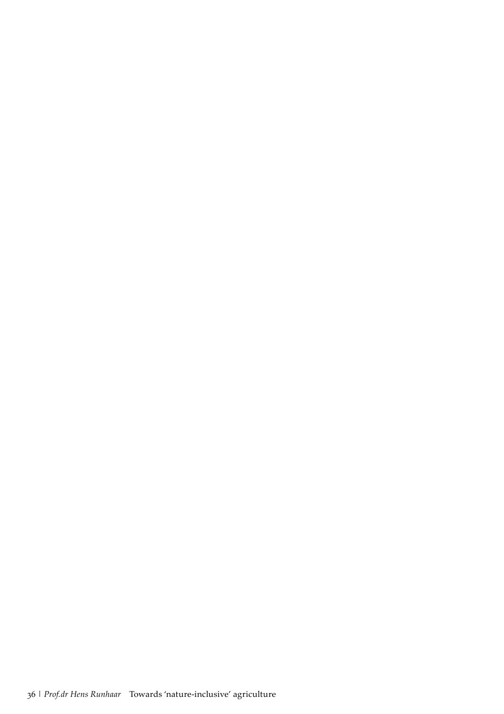| *Prof.dr Hens Runhaar* Towards 'nature-inclusive' agriculture